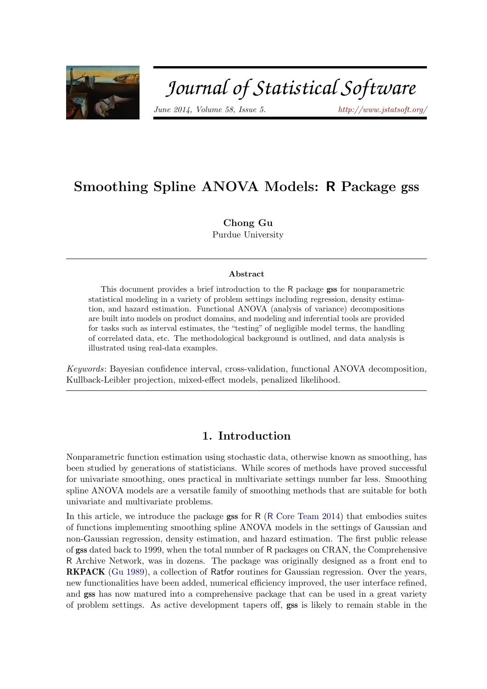

# Journal of Statistical Software

 $June 2014, Volume 58, Issue 5.$  <http://www.jstatsoft.org/>

## Smoothing Spline ANOVA Models: R Package gss

Chong Gu Purdue University

#### Abstract

This document provides a brief introduction to the R package gss for nonparametric statistical modeling in a variety of problem settings including regression, density estimation, and hazard estimation. Functional ANOVA (analysis of variance) decompositions are built into models on product domains, and modeling and inferential tools are provided for tasks such as interval estimates, the "testing" of negligible model terms, the handling of correlated data, etc. The methodological background is outlined, and data analysis is illustrated using real-data examples.

Keywords: Bayesian confidence interval, cross-validation, functional ANOVA decomposition, Kullback-Leibler projection, mixed-effect models, penalized likelihood.

## 1. Introduction

Nonparametric function estimation using stochastic data, otherwise known as smoothing, has been studied by generations of statisticians. While scores of methods have proved successful for univariate smoothing, ones practical in multivariate settings number far less. Smoothing spline ANOVA models are a versatile family of smoothing methods that are suitable for both univariate and multivariate problems.

In this article, we introduce the package gss for R (R [Core Team](#page-23-0) [2014\)](#page-23-0) that embodies suites of functions implementing smoothing spline ANOVA models in the settings of Gaussian and non-Gaussian regression, density estimation, and hazard estimation. The first public release of gss dated back to 1999, when the total number of R packages on CRAN, the Comprehensive R Archive Network, was in dozens. The package was originally designed as a front end to RKPACK [\(Gu](#page-22-0) [1989\)](#page-22-0), a collection of Ratfor routines for Gaussian regression. Over the years, new functionalities have been added, numerical efficiency improved, the user interface refined, and gss has now matured into a comprehensive package that can be used in a great variety of problem settings. As active development tapers off, gss is likely to remain stable in the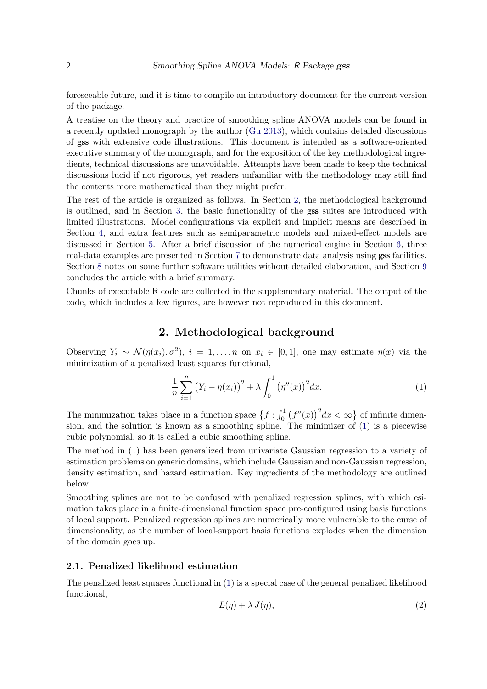foreseeable future, and it is time to compile an introductory document for the current version of the package.

A treatise on the theory and practice of smoothing spline ANOVA models can be found in a recently updated monograph by the author [\(Gu](#page-23-1) [2013\)](#page-23-1), which contains detailed discussions of gss with extensive code illustrations. This document is intended as a software-oriented executive summary of the monograph, and for the exposition of the key methodological ingredients, technical discussions are unavoidable. Attempts have been made to keep the technical discussions lucid if not rigorous, yet readers unfamiliar with the methodology may still find the contents more mathematical than they might prefer.

The rest of the article is organized as follows. In Section [2,](#page-1-0) the methodological background is outlined, and in Section [3,](#page-4-0) the basic functionality of the gss suites are introduced with limited illustrations. Model configurations via explicit and implicit means are described in Section [4,](#page-15-0) and extra features such as semiparametric models and mixed-effect models are discussed in Section [5.](#page-17-0) After a brief discussion of the numerical engine in Section [6,](#page-18-0) three real-data examples are presented in Section [7](#page-19-0) to demonstrate data analysis using gss facilities. Section [8](#page-22-1) notes on some further software utilities without detailed elaboration, and Section [9](#page-22-2) concludes the article with a brief summary.

Chunks of executable R code are collected in the supplementary material. The output of the code, which includes a few figures, are however not reproduced in this document.

## 2. Methodological background

<span id="page-1-0"></span>Observing  $Y_i \sim \mathcal{N}(\eta(x_i), \sigma^2), i = 1, \ldots, n$  on  $x_i \in [0, 1]$ , one may estimate  $\eta(x)$  via the minimization of a penalized least squares functional,

<span id="page-1-1"></span>
$$
\frac{1}{n}\sum_{i=1}^{n} (Y_i - \eta(x_i))^2 + \lambda \int_0^1 (\eta''(x))^2 dx.
$$
 (1)

The minimization takes place in a function space  $\{f: \int_0^1 (f''(x))^2 dx < \infty\}$  of infinite dimension, and the solution is known as a smoothing spline. The minimizer of [\(1\)](#page-1-1) is a piecewise cubic polynomial, so it is called a cubic smoothing spline.

The method in [\(1\)](#page-1-1) has been generalized from univariate Gaussian regression to a variety of estimation problems on generic domains, which include Gaussian and non-Gaussian regression, density estimation, and hazard estimation. Key ingredients of the methodology are outlined below.

Smoothing splines are not to be confused with penalized regression splines, with which esimation takes place in a finite-dimensional function space pre-configured using basis functions of local support. Penalized regression splines are numerically more vulnerable to the curse of dimensionality, as the number of local-support basis functions explodes when the dimension of the domain goes up.

#### 2.1. Penalized likelihood estimation

<span id="page-1-2"></span>The penalized least squares functional in [\(1\)](#page-1-1) is a special case of the general penalized likelihood functional,

$$
L(\eta) + \lambda J(\eta), \tag{2}
$$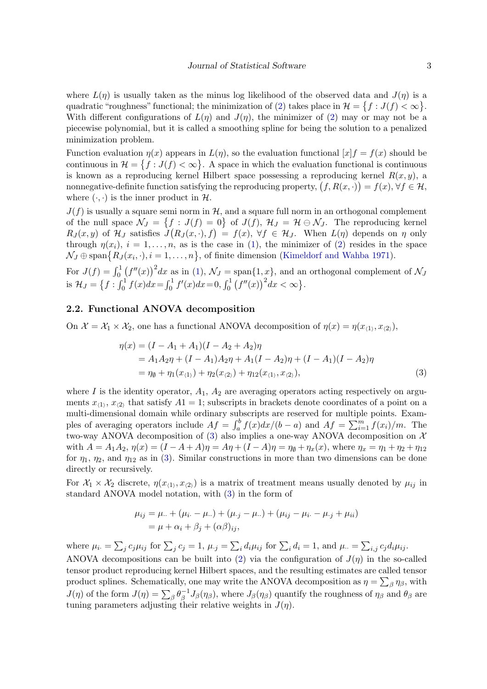where  $L(\eta)$  is usually taken as the minus log likelihood of the observed data and  $J(\eta)$  is a quadratic "roughness" functional; the minimization of [\(2\)](#page-1-2) takes place in  $\mathcal{H} = \{f : J(f) < \infty\}.$ With different configurations of  $L(\eta)$  and  $J(\eta)$ , the minimizer of [\(2\)](#page-1-2) may or may not be a piecewise polynomial, but it is called a smoothing spline for being the solution to a penalized minimization problem.

Function evaluation  $\eta(x)$  appears in  $L(\eta)$ , so the evaluation functional  $[x]f = f(x)$  should be continuous in  $\mathcal{H} = \{f : J(f) < \infty\}$ . A space in which the evaluation functional is continuous is known as a reproducing kernel Hilbert space possessing a reproducing kernel  $R(x, y)$ , a nonnegative-definite function satisfying the reproducing property,  $(f, R(x, \cdot)) = f(x), \forall f \in \mathcal{H}$ , where  $(\cdot, \cdot)$  is the inner product in  $\mathcal{H}$ .

 $J(f)$  is usually a square semi norm in  $H$ , and a square full norm in an orthogonal complement of the null space  $\mathcal{N}_J = \{f : J(f) = 0\}$  of  $J(f)$ ,  $\mathcal{H}_J = \mathcal{H} \ominus \mathcal{N}_J$ . The reproducing kernel  $R_J(x, y)$  of  $\mathcal{H}_J$  satisfies  $J(R_J(x, \cdot), f) = f(x), \forall f \in \mathcal{H}_J$ . When  $L(\eta)$  depends on  $\eta$  only through  $\eta(x_i)$ ,  $i = 1, \ldots, n$ , as is the case in [\(1\)](#page-1-1), the minimizer of [\(2\)](#page-1-2) resides in the space  $\mathcal{N}_J \oplus \text{span}\big\{R_J(x_i,\cdot), i=1,\ldots,n\big\}$ , of finite dimension [\(Kimeldorf and Wahba](#page-23-2) [1971\)](#page-23-2).

For  $J(f) = \int_0^1 (f''(x))^2 dx$  as in [\(1\)](#page-1-1),  $\mathcal{N}_J = \text{span}\{1, x\}$ , and an orthogonal complement of  $\mathcal{N}_J$ is  $\mathcal{H}_J = \left\{ f : \int_0^1 f(x)dx = \int_0^1 f'(x)dx = 0, \int_0^1 (f''(x))^2 dx < \infty \right\}.$ 

## 2.2. Functional ANOVA decomposition

On  $\mathcal{X} = \mathcal{X}_1 \times \mathcal{X}_2$ , one has a functional ANOVA decomposition of  $\eta(x) = \eta(x_{\langle 1 \rangle}, x_{\langle 2 \rangle}),$ 

<span id="page-2-0"></span>
$$
\eta(x) = (I - A_1 + A_1)(I - A_2 + A_2)\eta \n= A_1 A_2 \eta + (I - A_1) A_2 \eta + A_1 (I - A_2) \eta + (I - A_1)(I - A_2) \eta \n= \eta_{\emptyset} + \eta_1(x_{\langle 1 \rangle}) + \eta_2(x_{\langle 2 \rangle}) + \eta_{12}(x_{\langle 1 \rangle}, x_{\langle 2 \rangle}),
$$
\n(3)

where I is the identity operator,  $A_1$ ,  $A_2$  are averaging operators acting respectively on arguments  $x_{(1)}$ ,  $x_{(2)}$  that satisfy  $A1 = 1$ ; subscripts in brackets denote coordinates of a point on a multi-dimensional domain while ordinary subscripts are reserved for multiple points. Examples of averaging operators include  $Af = \int_a^b f(x)dx/(b-a)$  and  $Af = \sum_{i=1}^m f(x_i)/m$ . The two-way ANOVA decomposition of [\(3\)](#page-2-0) also implies a one-way ANOVA decomposition on  $\mathcal{X}$ with  $A = A_1A_2$ ,  $\eta(x) = (I - A + A)\eta = A\eta + (I - A)\eta = \eta_{\emptyset} + \eta_x(x)$ , where  $\eta_x = \eta_1 + \eta_2 + \eta_{12}$ for  $\eta_1$ ,  $\eta_2$ , and  $\eta_{12}$  as in [\(3\)](#page-2-0). Similar constructions in more than two dimensions can be done directly or recursively.

For  $\mathcal{X}_1 \times \mathcal{X}_2$  discrete,  $\eta(x_{\langle 1 \rangle}, x_{\langle 2 \rangle})$  is a matrix of treatment means usually denoted by  $\mu_{ij}$  in standard ANOVA model notation, with [\(3\)](#page-2-0) in the form of

$$
\mu_{ij} = \mu_{\cdot\cdot} + (\mu_{i\cdot} - \mu_{\cdot\cdot}) + (\mu_{\cdot j} - \mu_{\cdot\cdot}) + (\mu_{ij} - \mu_{i\cdot} - \mu_{\cdot j} + \mu_{ii})
$$
  
= 
$$
\mu + \alpha_i + \beta_j + (\alpha \beta)_{ij},
$$

where  $\mu_i = \sum_j c_j \mu_{ij}$  for  $\sum_j c_j = 1$ ,  $\mu_{\cdot j} = \sum_i d_i \mu_{ij}$  for  $\sum_i d_i = 1$ , and  $\mu_{\cdot \cdot} = \sum_{i,j} c_j d_i \mu_{ij}$ . ANOVA decompositions can be built into [\(2\)](#page-1-2) via the configuration of  $J(\eta)$  in the so-called tensor product reproducing kernel Hilbert spaces, and the resulting estimates are called tensor product splines. Schematically, one may write the ANOVA decomposition as  $\eta = \sum_{\beta} \eta_{\beta}$ , with  $J(\eta)$  of the form  $J(\eta) = \sum_{\beta} \theta_{\beta}^{-1}$  $\int_{\beta}^{-1} J_{\beta}(\eta_{\beta})$ , where  $J_{\beta}(\eta_{\beta})$  quantify the roughness of  $\eta_{\beta}$  and  $\theta_{\beta}$  are tuning parameters adjusting their relative weights in  $J(\eta)$ .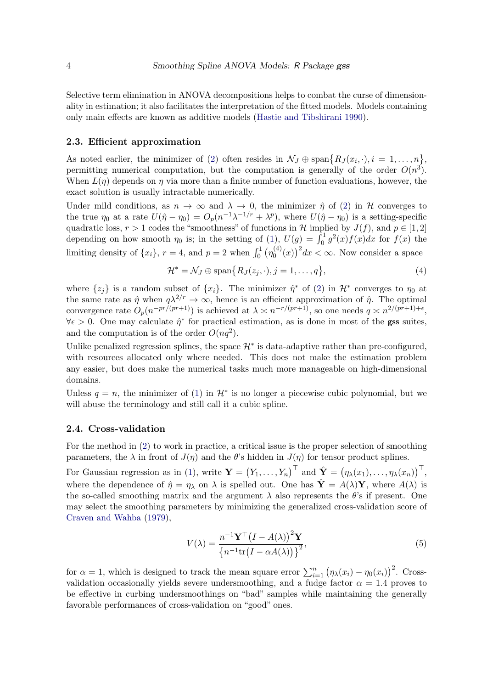Selective term elimination in ANOVA decompositions helps to combat the curse of dimensionality in estimation; it also facilitates the interpretation of the fitted models. Models containing only main effects are known as additive models [\(Hastie and Tibshirani](#page-23-3) [1990\)](#page-23-3).

#### 2.3. Efficient approximation

As noted earlier, the minimizer of [\(2\)](#page-1-2) often resides in  $\mathcal{N}_J \oplus \text{span}\{R_J(x_i, \cdot), i = 1, \ldots, n\},\$ permitting numerical computation, but the computation is generally of the order  $O(n^3)$ . When  $L(\eta)$  depends on  $\eta$  via more than a finite number of function evaluations, however, the exact solution is usually intractable numerically.

Under mild conditions, as  $n \to \infty$  and  $\lambda \to 0$ , the minimizer  $\hat{\eta}$  of [\(2\)](#page-1-2) in H converges to the true  $\eta_0$  at a rate  $U(\hat{\eta} - \eta_0) = O_p(n^{-1}\lambda^{-1/r} + \lambda^p)$ , where  $U(\hat{\eta} - \eta_0)$  is a setting-specific quadratic loss,  $r > 1$  codes the "smoothness" of functions in H implied by  $J(f)$ , and  $p \in [1, 2]$ depending on how smooth  $\eta_0$  is; in the setting of [\(1\)](#page-1-1),  $U(g) = \int_0^1 g^2(x) f(x) dx$  for  $f(x)$  the limiting density of  $\{x_i\}$ ,  $r = 4$ , and  $p = 2$  when  $\int_0^1 \left(\eta_0^{(4)}\right)$  $\binom{4}{0}(x)^2 dx < \infty$ . Now consider a space

<span id="page-3-0"></span>
$$
\mathcal{H}^* = \mathcal{N}_J \oplus \text{span}\{R_J(z_j, \cdot), j = 1, \dots, q\},\tag{4}
$$

where  $\{z_j\}$  is a random subset of  $\{x_i\}$ . The minimizer  $\hat{\eta}^*$  of [\(2\)](#page-1-2) in  $\mathcal{H}^*$  converges to  $\eta_0$  at the same rate as  $\hat{\eta}$  when  $q\lambda^{2/r} \to \infty$ , hence is an efficient approximation of  $\hat{\eta}$ . The optimal convergence rate  $O_p(n^{-pr/(pr+1)})$  is achieved at  $\lambda \asymp n^{-r/(pr+1)}$ , so one needs  $q \asymp n^{2/(pr+1)+\epsilon}$ ,  $\forall \epsilon > 0$ . One may calculate  $\hat{\eta}^*$  for practical estimation, as is done in most of the gss suites, and the computation is of the order  $O(nq^2)$ .

Unlike penalized regression splines, the space  $\mathcal{H}^*$  is data-adaptive rather than pre-configured, with resources allocated only where needed. This does not make the estimation problem any easier, but does make the numerical tasks much more manageable on high-dimensional domains.

Unless  $q = n$ , the minimizer of [\(1\)](#page-1-1) in  $\mathcal{H}^*$  is no longer a piecewise cubic polynomial, but we will abuse the terminology and still call it a cubic spline.

#### 2.4. Cross-validation

For the method in [\(2\)](#page-1-2) to work in practice, a critical issue is the proper selection of smoothing parameters, the  $\lambda$  in front of  $J(\eta)$  and the  $\theta$ 's hidden in  $J(\eta)$  for tensor product splines.

For Gaussian regression as in [\(1\)](#page-1-1), write  $\mathbf{Y} = (Y_1, \ldots, Y_n)^\top$  and  $\hat{\mathbf{Y}} = (\eta_\lambda(x_1), \ldots, \eta_\lambda(x_n))^\top$ , where the dependence of  $\hat{\eta} = \eta_{\lambda}$  on  $\lambda$  is spelled out. One has  $\hat{\mathbf{Y}} = A(\lambda) \mathbf{Y}$ , where  $A(\lambda)$  is the so-called smoothing matrix and the argument  $\lambda$  also represents the  $\theta$ 's if present. One may select the smoothing parameters by minimizing the generalized cross-validation score of [Craven and Wahba](#page-22-3) [\(1979\)](#page-22-3),

<span id="page-3-1"></span>
$$
V(\lambda) = \frac{n^{-1} \mathbf{Y}^{\top} (I - A(\lambda))^{2} \mathbf{Y}}{\left\{ n^{-1} \text{tr} (I - \alpha A(\lambda)) \right\}^{2}},
$$
\n
$$
(5)
$$

for  $\alpha = 1$ , which is designed to track the mean square error  $\sum_{i=1}^{n} (\eta_{\lambda}(x_i) - \eta_0(x_i))^2$ . Crossvalidation occasionally yields severe undersmoothing, and a fudge factor  $\alpha = 1.4$  proves to be effective in curbing undersmoothings on "bad" samples while maintaining the generally favorable performances of cross-validation on "good" ones.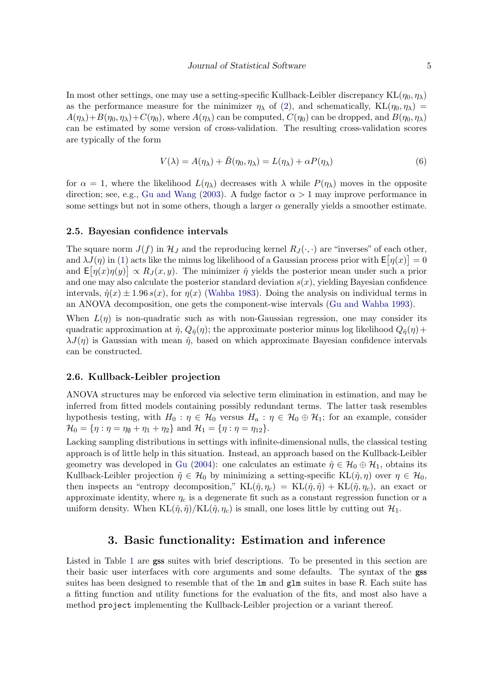In most other settings, one may use a setting-specific Kullback-Leibler discrepancy  $KL(\eta_0, \eta_\lambda)$ as the performance measure for the minimizer  $\eta_{\lambda}$  of [\(2\)](#page-1-2), and schematically,  $KL(\eta_0, \eta_{\lambda})$  =  $A(\eta_{\lambda})+B(\eta_0, \eta_{\lambda})+C(\eta_0)$ , where  $A(\eta_{\lambda})$  can be computed,  $C(\eta_0)$  can be dropped, and  $B(\eta_0, \eta_{\lambda})$ can be estimated by some version of cross-validation. The resulting cross-validation scores are typically of the form

<span id="page-4-1"></span>
$$
V(\lambda) = A(\eta_{\lambda}) + \hat{B}(\eta_0, \eta_{\lambda}) = L(\eta_{\lambda}) + \alpha P(\eta_{\lambda})
$$
\n(6)

for  $\alpha = 1$ , where the likelihood  $L(\eta_\lambda)$  decreases with  $\lambda$  while  $P(\eta_\lambda)$  moves in the opposite direction; see, e.g., [Gu and Wang](#page-23-4) [\(2003\)](#page-23-4). A fudge factor  $\alpha > 1$  may improve performance in some settings but not in some others, though a larger  $\alpha$  generally yields a smoother estimate.

#### 2.5. Bayesian confidence intervals

The square norm  $J(f)$  in  $\mathcal{H}_J$  and the reproducing kernel  $R_J(\cdot, \cdot)$  are "inverses" of each other, and  $\lambda J(\eta)$  in [\(1\)](#page-1-1) acts like the minus log likelihood of a Gaussian process prior with  $\mathsf{E}[\eta(x)] = 0$ and  $\mathsf{E}[\eta(x)\eta(y)] \propto R_J(x,y)$ . The minimizer  $\hat{\eta}$  yields the posterior mean under such a prior and one may also calculate the posterior standard deviation  $s(x)$ , yielding Bayesian confidence intervals,  $\hat{\eta}(x) \pm 1.96 s(x)$ , for  $\eta(x)$  [\(Wahba](#page-23-5) [1983\)](#page-23-5). Doing the analysis on individual terms in an ANOVA decomposition, one gets the component-wise intervals [\(Gu and Wahba](#page-23-6) [1993\)](#page-23-6).

When  $L(\eta)$  is non-quadratic such as with non-Gaussian regression, one may consider its quadratic approximation at  $\hat{\eta}$ ,  $Q_{\hat{\eta}}(\eta)$ ; the approximate posterior minus log likelihood  $Q_{\hat{\eta}}(\eta)$  +  $\lambda J(\eta)$  is Gaussian with mean  $\hat{\eta}$ , based on which approximate Bayesian confidence intervals can be constructed.

#### 2.6. Kullback-Leibler projection

ANOVA structures may be enforced via selective term elimination in estimation, and may be inferred from fitted models containing possibly redundant terms. The latter task resembles hypothesis testing, with  $H_0 : \eta \in \mathcal{H}_0$  versus  $H_a : \eta \in \mathcal{H}_0 \oplus \mathcal{H}_1$ ; for an example, consider  $\mathcal{H}_0 = \{\eta : \eta = \eta_0 + \eta_1 + \eta_2\}$  and  $\mathcal{H}_1 = \{\eta : \eta = \eta_{12}\}.$ 

Lacking sampling distributions in settings with infinite-dimensional nulls, the classical testing approach is of little help in this situation. Instead, an approach based on the Kullback-Leibler geometry was developed in [Gu](#page-23-7) [\(2004\)](#page-23-7): one calculates an estimate  $\hat{\eta} \in \mathcal{H}_0 \oplus \mathcal{H}_1$ , obtains its Kullback-Leibler projection  $\tilde{\eta} \in \mathcal{H}_0$  by minimizing a setting-specific  $KL(\hat{\eta}, \eta)$  over  $\eta \in \mathcal{H}_0$ , then inspects an "entropy decomposition,"  $KL(\hat{\eta}, \eta_c) = KL(\hat{\eta}, \tilde{\eta}) + KL(\tilde{\eta}, \eta_c)$ , an exact or approximate identity, where  $\eta_c$  is a degenerate fit such as a constant regression function or a uniform density. When  $KL(\hat{\eta}, \hat{\eta})/KL(\hat{\eta}, \eta_c)$  is small, one loses little by cutting out  $\mathcal{H}_1$ .

## 3. Basic functionality: Estimation and inference

<span id="page-4-0"></span>Listed in Table [1](#page-5-0) are gss suites with brief descriptions. To be presented in this section are their basic user interfaces with core arguments and some defaults. The syntax of the gss suites has been designed to resemble that of the  $\text{lm}$  and  $\text{glm}$  suites in base R. Each suite has a fitting function and utility functions for the evaluation of the fits, and most also have a method project implementing the Kullback-Leibler projection or a variant thereof.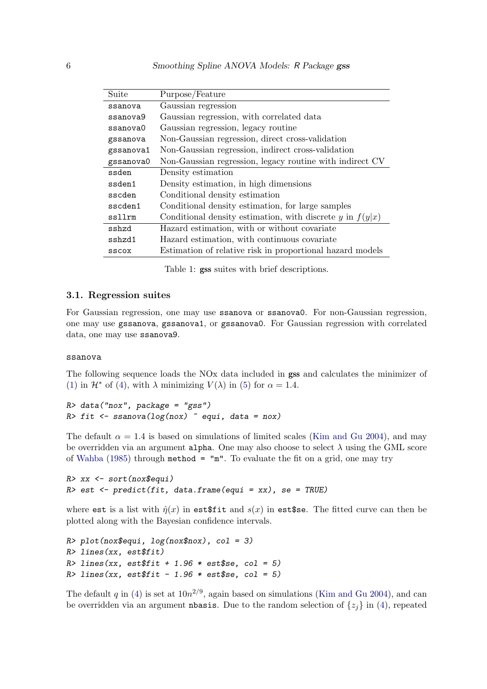| Suite     | Purpose/Feature                                             |  |  |
|-----------|-------------------------------------------------------------|--|--|
| ssanova   | Gaussian regression                                         |  |  |
| ssanova9  | Gaussian regression, with correlated data                   |  |  |
| ssanova0  | Gaussian regression, legacy routine                         |  |  |
| gssanova  | Non-Gaussian regression, direct cross-validation            |  |  |
| gssanova1 | Non-Gaussian regression, indirect cross-validation          |  |  |
| gssanova0 | Non-Gaussian regression, legacy routine with indirect CV    |  |  |
| ssden     | Density estimation                                          |  |  |
| ssden1    | Density estimation, in high dimensions                      |  |  |
| sscden    | Conditional density estimation                              |  |  |
| sscden1   | Conditional density estimation, for large samples           |  |  |
| ssllrm    | Conditional density estimation, with discrete y in $f(y x)$ |  |  |
| sshzd     | Hazard estimation, with or without covariate                |  |  |
| sshzd1    | Hazard estimation, with continuous covariate                |  |  |
| SSCOX     | Estimation of relative risk in proportional hazard models   |  |  |

<span id="page-5-0"></span>Table 1: gss suites with brief descriptions.

#### 3.1. Regression suites

For Gaussian regression, one may use ssanova or ssanova0. For non-Gaussian regression, one may use gssanova, gssanova1, or gssanova0. For Gaussian regression with correlated data, one may use ssanova9.

#### ssanova

The following sequence loads the NOx data included in gss and calculates the minimizer of [\(1\)](#page-1-1) in  $\mathcal{H}^*$  of [\(4\)](#page-3-0), with  $\lambda$  minimizing  $V(\lambda)$  in [\(5\)](#page-3-1) for  $\alpha = 1.4$ .

R> data("nox", package = "gss") R> fit  $\leq$  ssanova(log(nox)  $\sim$  equi, data = nox)

The default  $\alpha = 1.4$  is based on simulations of limited scales [\(Kim and Gu](#page-23-8) [2004\)](#page-23-8), and may be overridden via an argument alpha. One may also choose to select  $\lambda$  using the GML score of [Wahba](#page-24-0) [\(1985\)](#page-24-0) through method = "m". To evaluate the fit on a grid, one may try

```
R> xx <- sort(nox$equi)
R> est <- predict(fit, data.frame(equi = xx), se = TRUE)
```
where est is a list with  $\hat{\eta}(x)$  in est\$fit and  $s(x)$  in est\$se. The fitted curve can then be plotted along with the Bayesian confidence intervals.

```
R> plot(nox$equi, log(nox$nox), col = 3)
R> lines(xx, est$fit)
R > lines(xx, est$fit + 1.96 * est$se, col = 5)
R > lines(xx, est$fit - 1.96 * est$se, col = 5)
```
The default q in [\(4\)](#page-3-0) is set at  $10n^{2/9}$ , again based on simulations [\(Kim and Gu](#page-23-8) [2004\)](#page-23-8), and can be overridden via an argument **nbasis**. Due to the random selection of  $\{z_i\}$  in [\(4\)](#page-3-0), repeated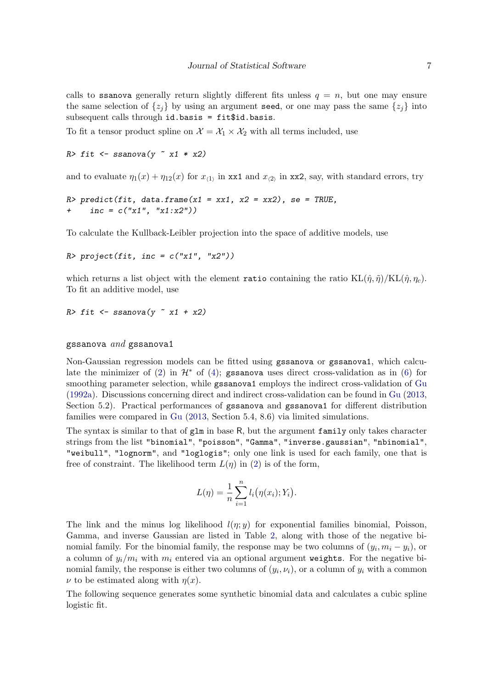calls to ssanova generally return slightly different fits unless  $q = n$ , but one may ensure the same selection of  $\{z_i\}$  by using an argument seed, or one may pass the same  $\{z_i\}$  into subsequent calls through id.basis = fit\$id.basis.

To fit a tensor product spline on  $\mathcal{X} = \mathcal{X}_1 \times \mathcal{X}_2$  with all terms included, use

```
R> fit \le ssanova(y \approx x1 * x2)
```
and to evaluate  $\eta_1(x) + \eta_{12}(x)$  for  $x_{(1)}$  in xx1 and  $x_{(2)}$  in xx2, say, with standard errors, try

```
R> predict(fit, data.frame(x1 = xx1, x2 = xx2), se = TRUE,
    inc = c("x1", "x1:x2")
```
To calculate the Kullback-Leibler projection into the space of additive models, use

```
R> project(fit, inc = c("x1", "x2"))
```
which returns a list object with the element ratio containing the ratio  $KL(\hat{\eta}, \tilde{\eta})/KL(\hat{\eta}, \eta_c)$ . To fit an additive model, use

R> fit  $\leq$  ssanova(y  $\approx$  x1 + x2)

#### gssanova  $and$  gssanova1

Non-Gaussian regression models can be fitted using gssanova or gssanova1, which calcu-late the minimizer of [\(2\)](#page-1-2) in  $\mathcal{H}^*$  of [\(4\)](#page-3-0); gssanova uses direct cross-validation as in [\(6\)](#page-4-1) for smoothing parameter selection, while gssanova1 employs the indirect cross-validation of [Gu](#page-23-9) [\(1992a\)](#page-23-9). Discussions concerning direct and indirect cross-validation can be found in [Gu](#page-23-1) [\(2013,](#page-23-1) Section 5.2). Practical performances of gssanova and gssanova1 for different distribution families were compared in [Gu](#page-23-1) [\(2013,](#page-23-1) Section 5.4, 8.6) via limited simulations.

The syntax is similar to that of  $g1m$  in base R, but the argument family only takes character strings from the list "binomial", "poisson", "Gamma", "inverse.gaussian", "nbinomial", "weibull", "lognorm", and "loglogis"; only one link is used for each family, one that is free of constraint. The likelihood term  $L(\eta)$  in [\(2\)](#page-1-2) is of the form,

$$
L(\eta) = \frac{1}{n} \sum_{i=1}^{n} l_i(\eta(x_i); Y_i).
$$

The link and the minus log likelihood  $l(\eta; y)$  for exponential families binomial, Poisson, Gamma, and inverse Gaussian are listed in Table [2,](#page-7-0) along with those of the negative binomial family. For the binomial family, the response may be two columns of  $(y_i, m_i - y_i)$ , or a column of  $y_i/m_i$  with  $m_i$  entered via an optional argument weights. For the negative binomial family, the response is either two columns of  $(y_i, \nu_i)$ , or a column of  $y_i$  with a common  $\nu$  to be estimated along with  $\eta(x)$ .

The following sequence generates some synthetic binomial data and calculates a cubic spline logistic fit.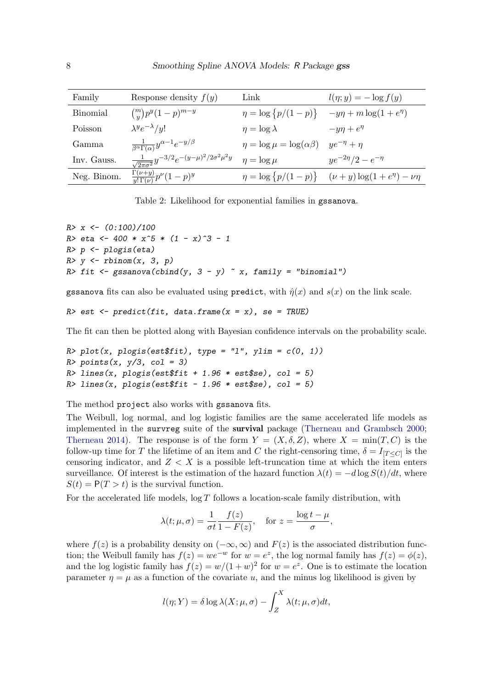| Family          | Response density $f(y)$                                               | Link                                   | $l(\eta; y) = -\log f(y)$                                        |
|-----------------|-----------------------------------------------------------------------|----------------------------------------|------------------------------------------------------------------|
| <b>Binomial</b> | $\binom{m}{y} p^y (1-p)^{m-y}$                                        |                                        | $\eta = \log \{p/(1-p)\}$ $-y\eta + m\log(1+e^{\eta})$           |
| Poisson         | $\lambda^y e^{-\lambda}/y!$                                           | $\eta = \log \lambda$                  | $-y\eta + e^{\eta}$                                              |
| Gamma           | $\frac{1}{\beta^{\alpha}\Gamma(\alpha)}y^{\alpha-1}e^{-y/\beta}$      | $\eta = \log \mu = \log(\alpha \beta)$ | $ye^{-\eta} + \eta$                                              |
| Inv. Gauss.     | $\frac{1}{\sqrt{2\pi\sigma^2}}y^{-3/2}e^{-(y-\mu)^2/2\sigma^2\mu^2y}$ | $\eta = \log \mu$                      | $ye^{-2\eta}/2 - e^{-\eta}$                                      |
| Neg. Binom.     | $\frac{\Gamma(\nu+y)}{u!\,\Gamma(\nu)}p^{\nu}(1-p)^y$                 |                                        | $\eta = \log \{p/(1-p)\}$ $(\nu + y) \log(1+e^{\eta}) - \nu\eta$ |

<span id="page-7-0"></span>Table 2: Likelihood for exponential families in gssanova.

```
R > x \leftarrow (0:100)/100R> eta <- 400 * x^5 * (1 - x)<sup>\hat{3}</sup> - 1
R> p <- plogis(eta)
R> y <- rbinom(x, 3, p)R> fit <- gssanova(cbind(y, 3 - y) x, family = "binomial")
```
gssanova fits can also be evaluated using predict, with  $\hat{\eta}(x)$  and  $s(x)$  on the link scale.

```
R> est <- predict(fit, data.frame(x = x), se = TRUE)
```
The fit can then be plotted along with Bayesian confidence intervals on the probability scale.

```
R> plot(x, plogis(est$fit), type = "l", ylim = c(0, 1))
R> points(x, y/3, col = 3)
R > lines(x, plogis(est$fit + 1.96 * est$se), col = 5)
R > lines(x, plogis(est$fit - 1.96 * est$se), col = 5)
```
The method project also works with gssanova fits.

The Weibull, log normal, and log logistic families are the same accelerated life models as implemented in the survreg suite of the survival package [\(Therneau and Grambsch](#page-23-10) [2000;](#page-23-10) [Therneau](#page-23-11) [2014\)](#page-23-11). The response is of the form  $Y = (X, \delta, Z)$ , where  $X = \min(T, C)$  is the follow-up time for T the lifetime of an item and C the right-censoring time,  $\delta = I_{[T \leq C]}$  is the censoring indicator, and  $Z < X$  is a possible left-truncation time at which the item enters surveillance. Of interest is the estimation of the hazard function  $\lambda(t) = -d \log S(t)/dt$ , where  $S(t) = P(T > t)$  is the survival function.

For the accelerated life models,  $\log T$  follows a location-scale family distribution, with

$$
\lambda(t; \mu, \sigma) = \frac{1}{\sigma t} \frac{f(z)}{1 - F(z)}, \quad \text{for } z = \frac{\log t - \mu}{\sigma},
$$

where  $f(z)$  is a probability density on  $(-\infty, \infty)$  and  $F(z)$  is the associated distribution function; the Weibull family has  $f(z) = we^{-w}$  for  $w = e^z$ , the log normal family has  $f(z) = \phi(z)$ , and the log logistic family has  $f(z) = w/(1+w)^2$  for  $w = e^z$ . One is to estimate the location parameter  $\eta = \mu$  as a function of the covariate u, and the minus log likelihood is given by

$$
l(\eta;Y) = \delta \log \lambda(X;\mu,\sigma) - \int_Z^X \lambda(t;\mu,\sigma)dt,
$$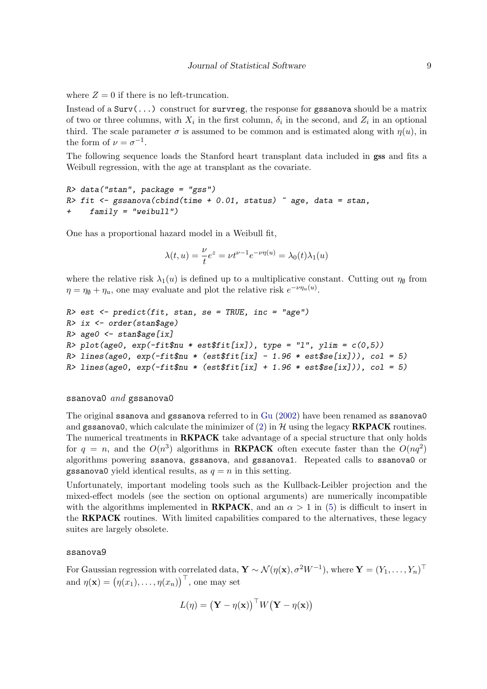where  $Z = 0$  if there is no left-truncation.

Instead of a  $Surv(...)$  construct for survreg, the response for gssanova should be a matrix of two or three columns, with  $X_i$  in the first column,  $\delta_i$  in the second, and  $Z_i$  in an optional third. The scale parameter  $\sigma$  is assumed to be common and is estimated along with  $\eta(u)$ , in the form of  $\nu = \sigma^{-1}$ .

The following sequence loads the Stanford heart transplant data included in gss and fits a Weibull regression, with the age at transplant as the covariate.

```
R> data("stan", package = "gss")
R> fit <- gssanova(cbind(time + 0.01, status) \tilde{ } age, data = stan,
     family = "weibull")
```
One has a proportional hazard model in a Weibull fit,

$$
\lambda(t, u) = \frac{\nu}{t} e^z = \nu t^{\nu - 1} e^{-\nu \eta(u)} = \lambda_0(t) \lambda_1(u)
$$

where the relative risk  $\lambda_1(u)$  is defined up to a multiplicative constant. Cutting out  $\eta_{\emptyset}$  from  $\eta = \eta_{\emptyset} + \eta_u$ , one may evaluate and plot the relative risk  $e^{-\nu \eta_u(u)}$ .

```
R > est \leq predict(fit, stan, se = TRUE, inc = "age")
R> ix <- order(stan$age)
R> age0 < stan$age[ix]
R> plot(age0, exp(-fit\nu * est$fit[ix]), type = "l", ylim = c(0,5))
R> lines(age0, exp(-fit$nu * (est$fit[ix] - 1.96 * est$se[ix])), col = 5)
R> lines(age0, exp(-fit$nu * (est$fit[ix] + 1.96 * est$se[ix])), col = 5)
```
#### ssanova $0$  and gssanova $0$

The original ssanova and gssanova referred to in [Gu](#page-23-12) [\(2002\)](#page-23-12) have been renamed as ssanova0 and gssanova0, which calculate the minimizer of  $(2)$  in H using the legacy **RKPACK** routines. The numerical treatments in **RKPACK** take advantage of a special structure that only holds for  $q = n$ , and the  $O(n^3)$  algorithms in **RKPACK** often execute faster than the  $O(nq^2)$ algorithms powering ssanova, gssanova, and gssanova1. Repeated calls to ssanova0 or gssanova0 yield identical results, as  $q = n$  in this setting.

Unfortunately, important modeling tools such as the Kullback-Leibler projection and the mixed-effect models (see the section on optional arguments) are numerically incompatible with the algorithms implemented in **RKPACK**, and an  $\alpha > 1$  in [\(5\)](#page-3-1) is difficult to insert in the RKPACK routines. With limited capabilities compared to the alternatives, these legacy suites are largely obsolete.

#### ssanova9

For Gaussian regression with correlated data,  $\mathbf{Y} \sim \mathcal{N}(\eta(\mathbf{x}), \sigma^2 W^{-1})$ , where  $\mathbf{Y} = (Y_1, \dots, Y_n)^\top$ and  $\eta(\mathbf{x}) = (\eta(x_1), \dots, \eta(x_n))^\top$ , one may set

$$
L(\eta) = (\mathbf{Y} - \eta(\mathbf{x}))^\top W(\mathbf{Y} - \eta(\mathbf{x}))
$$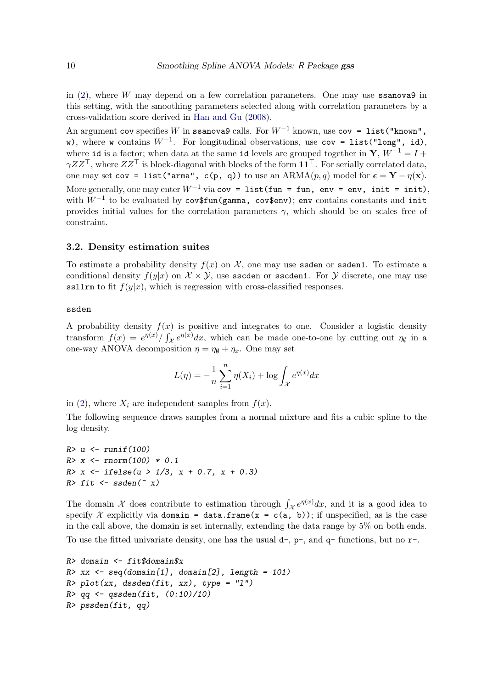in  $(2)$ , where W may depend on a few correlation parameters. One may use **ssanova9** in this setting, with the smoothing parameters selected along with correlation parameters by a cross-validation score derived in [Han and Gu](#page-23-13) [\(2008\)](#page-23-13).

An argument cov specifies W in ssanova9 calls. For  $W^{-1}$  known, use cov = list("known", w), where w contains  $W^{-1}$ . For longitudinal observations, use  $cov = \text{list("long", id)}$ , where id is a factor; when data at the same id levels are grouped together in  $\mathbf{Y}, W^{-1} = I +$  $\gamma ZZ^{\top}$ , where  $ZZ^{\top}$  is block-diagonal with blocks of the form  $\mathbf{11}^{\top}$ . For serially correlated data, one may set cov = list("arma", c(p, q)) to use an  $ARMA(p,q)$  model for  $\epsilon = Y - \eta(x)$ . More generally, one may enter  $W^{-1}$  via cov = list(fun = fun, env = env, init = init), with  $W^{-1}$  to be evaluated by  $\mathtt{cov\$fun}(\mathtt{gamma}, \mathtt{cov\$env});$  env contains constants and init provides initial values for the correlation parameters  $\gamma$ , which should be on scales free of constraint.

#### 3.2. Density estimation suites

To estimate a probability density  $f(x)$  on X, one may use **ssden** or **ssden1**. To estimate a conditional density  $f(y|x)$  on  $\mathcal{X} \times \mathcal{Y}$ , use sscden or sscden1. For  $\mathcal{Y}$  discrete, one may use ssllrm to fit  $f(y|x)$ , which is regression with cross-classified responses.

#### ssden

A probability density  $f(x)$  is positive and integrates to one. Consider a logistic density transform  $f(x) = e^{\eta(x)} / \int_{\mathcal{X}} e^{\eta(x)} dx$ , which can be made one-to-one by cutting out  $\eta_{\emptyset}$  in a one-way ANOVA decomposition  $\eta = \eta_{\emptyset} + \eta_x$ . One may set

$$
L(\eta) = -\frac{1}{n} \sum_{i=1}^{n} \eta(X_i) + \log \int_{\mathcal{X}} e^{\eta(x)} dx
$$

in [\(2\)](#page-1-2), where  $X_i$  are independent samples from  $f(x)$ .

The following sequence draws samples from a normal mixture and fits a cubic spline to the log density.

```
R> u <- runif(100)
R > x \leftarrow \text{rnorm}(100) * 0.1R > x \leftarrow ifelse(u > 1/3, x + 0.7, x + 0.3)R> fit \leq ssden(\in x)
```
The domain X does contribute to estimation through  $\int_{\mathcal{X}} e^{\eta(x)} dx$ , and it is a good idea to specify X explicitly via domain = data.frame(x = c(a, b)); if unspecified, as is the case in the call above, the domain is set internally, extending the data range by 5% on both ends.

To use the fitted univariate density, one has the usual  $d$ -,  $p$ -, and  $q$ - functions, but no  $r$ -.

```
R> domain \leq fit$domain$x
R> xx <- seq(domain[1], domain[2], length = 101)
R> plot(xx, dssden(fit, xx), type = "1")R > qq < -qssden(fit, (0:10)/10)R> pssden(fit, qq)
```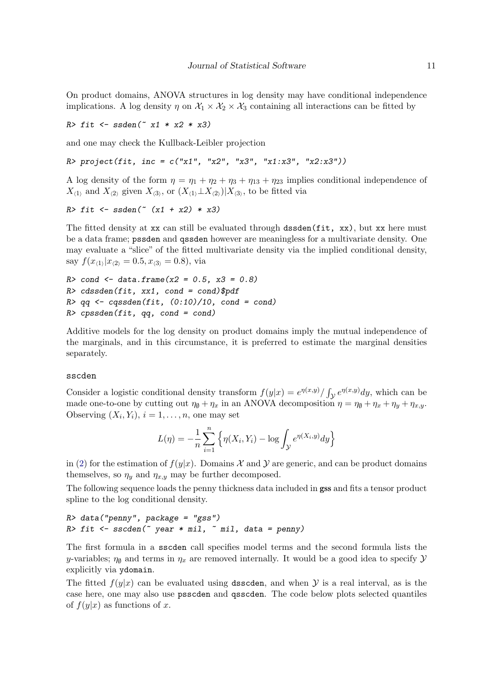On product domains, ANOVA structures in log density may have conditional independence implications. A log density  $\eta$  on  $\mathcal{X}_1 \times \mathcal{X}_2 \times \mathcal{X}_3$  containing all interactions can be fitted by

 $R>$  fit  $\leq$  ssden( $\degree$  x1 \* x2 \* x3)

and one may check the Kullback-Leibler projection

R> project(fit, inc =  $c("x1", "x2", "x3", "x1:x3", "x2:x3"))$ )

A log density of the form  $\eta = \eta_1 + \eta_2 + \eta_3 + \eta_{13} + \eta_{23}$  implies conditional independence of  $X_{(1)}$  and  $X_{(2)}$  given  $X_{(3)}$ , or  $(X_{(1)} \perp X_{(2)})|X_{(3)}$ , to be fitted via

```
R > fit \leq ssden(" (x1 + x2) * x3)
```
The fitted density at xx can still be evaluated through dssden(fit, xx), but xx here must be a data frame; pssden and qssden however are meaningless for a multivariate density. One may evaluate a "slice" of the fitted multivariate density via the implied conditional density, say  $f(x_{\langle 1 \rangle}|x_{\langle 2 \rangle} = 0.5, x_{\langle 3 \rangle} = 0.8)$ , via

```
R > cond \leq data.frame(x2 = 0.5, x3 = 0.8)
R> cdssden(fit, xx1, cond = cond)$pdf
R > qq \leftarrow cqssden(fit, (0:10)/10, cond = cond)R> cpssden(fit, qq, cond = cond)
```
Additive models for the log density on product domains imply the mutual independence of the marginals, and in this circumstance, it is preferred to estimate the marginal densities separately.

#### sscden

Consider a logistic conditional density transform  $f(y|x) = e^{\eta(x,y)}/\int_{\mathcal{Y}} e^{\eta(x,y)}dy$ , which can be made one-to-one by cutting out  $\eta_{\emptyset} + \eta_x$  in an ANOVA decomposition  $\eta = \eta_{\emptyset} + \eta_x + \eta_y + \eta_{x,y}$ . Observing  $(X_i, Y_i)$ ,  $i = 1, \ldots, n$ , one may set

$$
L(\eta) = -\frac{1}{n} \sum_{i=1}^{n} \left\{ \eta(X_i, Y_i) - \log \int_{\mathcal{Y}} e^{\eta(X_i, y)} dy \right\}
$$

in [\(2\)](#page-1-2) for the estimation of  $f(y|x)$ . Domains X and Y are generic, and can be product domains themselves, so  $\eta_y$  and  $\eta_{x,y}$  may be further decomposed.

The following sequence loads the penny thickness data included in gss and fits a tensor product spline to the log conditional density.

```
R> data("penny", package = "gss")
R> fit <- sscden(" year * mil, " mil, data = penny)
```
The first formula in a sscden call specifies model terms and the second formula lists the y-variables;  $\eta_{\emptyset}$  and terms in  $\eta_x$  are removed internally. It would be a good idea to specify  $\mathcal Y$ explicitly via ydomain.

The fitted  $f(y|x)$  can be evaluated using dsscden, and when Y is a real interval, as is the case here, one may also use psscden and qsscden. The code below plots selected quantiles of  $f(y|x)$  as functions of x.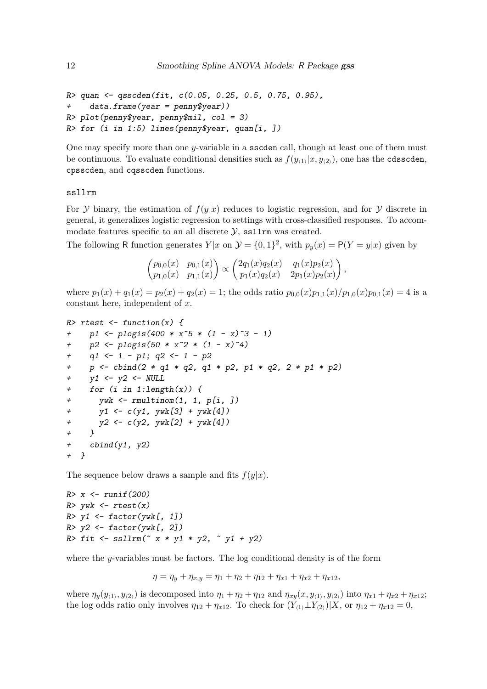```
R> quan <- qsscden(fit, c(0.05, 0.25, 0.5, 0.75, 0.95),
+ data.frame(year = penny$year))
R> plot(penny$year, penny$mil, col = 3)
R> for (i in 1:5) lines(penny$year, quan[i, ])
```
One may specify more than one  $y$ -variable in a sscden call, though at least one of them must be continuous. To evaluate conditional densities such as  $f(y_{\langle 1 \rangle}|x, y_{\langle 2 \rangle})$ , one has the cdsscden, cpsscden, and cqsscden functions.

ssllrm

For Y binary, the estimation of  $f(y|x)$  reduces to logistic regression, and for Y discrete in general, it generalizes logistic regression to settings with cross-classified responses. To accommodate features specific to an all discrete  $\mathcal{Y}$ , ssllrm was created.

The following R function generates  $Y|x$  on  $\mathcal{Y} = \{0,1\}^2$ , with  $p_y(x) = P(Y = y|x)$  given by

$$
\begin{pmatrix} p_{0,0}(x) & p_{0,1}(x) \\ p_{1,0}(x) & p_{1,1}(x) \end{pmatrix} \propto \begin{pmatrix} 2q_1(x)q_2(x) & q_1(x)p_2(x) \\ p_1(x)q_2(x) & 2p_1(x)p_2(x) \end{pmatrix},
$$

where  $p_1(x) + q_1(x) = p_2(x) + q_2(x) = 1$ ; the odds ratio  $p_{0,0}(x)p_{1,1}(x)/p_{1,0}(x)p_{0,1}(x) = 4$  is a constant here, independent of  $x$ .

```
R> rtest \leftarrow function(x) {
+ p1 <- plogis(400 * x^5 * (1 - x)^3 - 1)
+ p2 <- plogis(50 * x^2 * (1 - x)^2)q1 \leftarrow 1 - p1; q2 \leftarrow 1 - p2+ p <- cbind(2 * q1 * q2, q1 * p2, p1 * q2, 2 * p1 * p2)
    y1 \leftarrow y2 \leftarrow NULL+ for (i \text{ in } 1:\text{length}(x)) {
+ ywk \leftarrow rmultinom(1, 1, p[i, ])+ y1 \leftarrow c(y1, ywk[3] + ywk[4])+ y2 <- c(y2, ywk[2] + ywk[4])
+ }
+ cbind(y1, y2)
+ }
```
The sequence below draws a sample and fits  $f(y|x)$ .

```
R > x \leftarrow runif(200)R> ywk <- rtest(x)R> y1 <- factor(ywk[, 1])
R > y2 \leftarrow factor(ywk[, 2])R> fit <- ssllrm(x * y1 * y2, y1 + y2)
```
where the y-variables must be factors. The log conditional density is of the form

$$
\eta = \eta_y + \eta_{x,y} = \eta_1 + \eta_2 + \eta_{12} + \eta_{x1} + \eta_{x2} + \eta_{x12},
$$

where  $\eta_y(y_{(1)}, y_{(2)})$  is decomposed into  $\eta_1 + \eta_2 + \eta_{12}$  and  $\eta_{xy}(x, y_{(1)}, y_{(2)})$  into  $\eta_{x1} + \eta_{x2} + \eta_{x12}$ ; the log odds ratio only involves  $\eta_{12} + \eta_{x12}$ . To check for  $(Y_{(1)} \perp Y_{(2)})|X$ , or  $\eta_{12} + \eta_{x12} = 0$ ,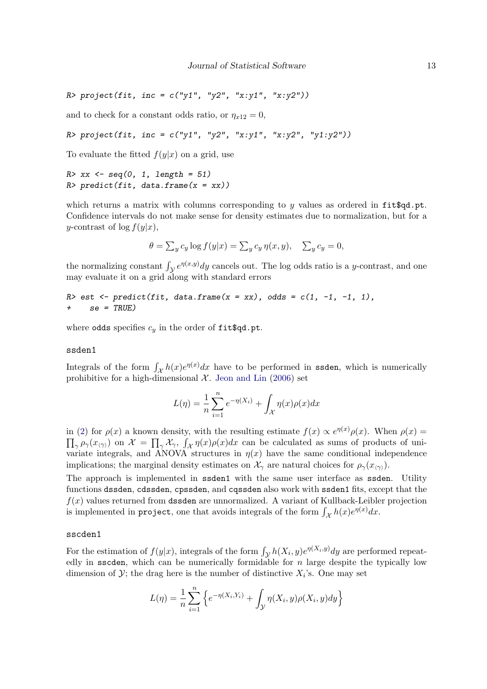R> project(fit, inc = c("y1", "y2", "x:y1", "x:y2"))

and to check for a constant odds ratio, or  $\eta_{x12} = 0$ ,

```
R> project(fit, inc = c("y1", "y2", "x:y1", "x:y2", "y1:y2"))
```
To evaluate the fitted  $f(y|x)$  on a grid, use

```
R > xx \leftarrow seq(0, 1, length = 51)R> predict(fit, data.frame(x = xx))
```
which returns a matrix with columns corresponding to y values as ordered in  $fit\$ Confidence intervals do not make sense for density estimates due to normalization, but for a y-contrast of  $\log f(y|x)$ ,

$$
\theta = \sum_{y} c_y \log f(y|x) = \sum_{y} c_y \eta(x, y), \quad \sum_{y} c_y = 0,
$$

the normalizing constant  $\int_{\mathcal{Y}} e^{\eta(x,y)} dy$  cancels out. The log odds ratio is a y-contrast, and one may evaluate it on a grid along with standard errors

```
R> est <- predict(fit, data.frame(x = xx), odds = c(1, -1, -1, 1),
+ se = TRUE)
```
where odds specifies  $c_y$  in the order of fit\$qd.pt.

#### ssden1

Integrals of the form  $\int_{\mathcal{X}} h(x)e^{\eta(x)}dx$  have to be performed in ssden, which is numerically prohibitive for a high-dimensional  $\mathcal{X}$ . [Jeon and Lin](#page-23-14) [\(2006\)](#page-23-14) set

$$
L(\eta) = \frac{1}{n} \sum_{i=1}^{n} e^{-\eta(X_i)} + \int_{\mathcal{X}} \eta(x) \rho(x) dx
$$

in [\(2\)](#page-1-2) for  $\rho(x)$  a known density, with the resulting estimate  $f(x) \propto e^{\eta(x)} \rho(x)$ . When  $\rho(x) =$  $\prod_{\gamma} \rho_{\gamma}(x_{\langle \gamma \rangle})$  on  $\mathcal{X} = \prod_{\gamma} \mathcal{X}_{\gamma}$ ,  $\int_{\mathcal{X}} \eta(x) \rho(x) dx$  can be calculated as sums of products of univariate integrals, and ANOVA structures in  $\eta(x)$  have the same conditional independence implications; the marginal density estimates on  $\mathcal{X}_{\gamma}$  are natural choices for  $\rho_{\gamma}(x_{(\gamma)})$ .

The approach is implemented in ssden1 with the same user interface as ssden. Utility functions dssden, cdssden, cpssden, and cqssden also work with ssden1 fits, except that the  $f(x)$  values returned from dssden are unnormalized. A variant of Kullback-Leibler projection is implemented in project, one that avoids integrals of the form  $\int_{\mathcal{X}} h(x)e^{\eta(x)}dx$ .

#### sscden1

For the estimation of  $f(y|x)$ , integrals of the form  $\int_{\mathcal{Y}} h(X_i, y)e^{\eta(X_i, y)}dy$  are performed repeatedly in sscden, which can be numerically formidable for  $n$  large despite the typically low dimension of  $\mathcal{Y}$ ; the drag here is the number of distinctive  $X_i$ 's. One may set

$$
L(\eta) = \frac{1}{n} \sum_{i=1}^{n} \left\{ e^{-\eta(X_i, Y_i)} + \int_{\mathcal{Y}} \eta(X_i, y) \rho(X_i, y) dy \right\}
$$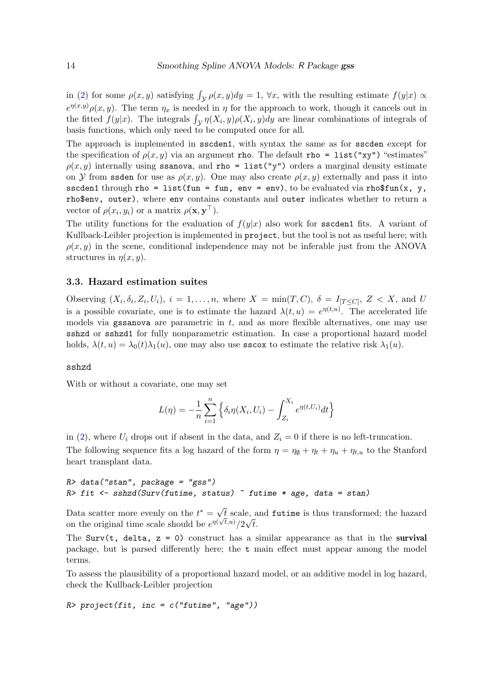in [\(2\)](#page-1-2) for some  $\rho(x, y)$  satisfying  $\int_{\mathcal{Y}} \rho(x, y) dy = 1$ ,  $\forall x$ , with the resulting estimate  $f(y|x) \propto$  $e^{\eta(x,y)}\rho(x,y)$ . The term  $\eta_x$  is needed in  $\eta$  for the approach to work, though it cancels out in the fitted  $f(y|x)$ . The integrals  $\int_{\mathcal{Y}} \eta(X_i, y) \rho(X_i, y) dy$  are linear combinations of integrals of basis functions, which only need to be computed once for all.

The approach is implemented in sscden1, with syntax the same as for sscden except for the specification of  $\rho(x, y)$  via an argument rho. The default rho = list("xy") "estimates"  $\rho(x, y)$  internally using ssanova, and rho = list("y") orders a marginal density estimate on Y from ssden for use as  $\rho(x, y)$ . One may also create  $\rho(x, y)$  externally and pass it into sscden1 through rho = list(fun = fun, env = env), to be evaluated via rho\$fun(x, y, rho\$env, outer), where env contains constants and outer indicates whether to return a vector of  $\rho(x_i, y_i)$  or a matrix  $\rho(\mathbf{x}, \mathbf{y}^{\top}).$ 

The utility functions for the evaluation of  $f(y|x)$  also work for sscden1 fits. A variant of Kullback-Leibler projection is implemented in project, but the tool is not as useful here; with  $\rho(x, y)$  in the scene, conditional independence may not be inferable just from the ANOVA structures in  $\eta(x, y)$ .

#### 3.3. Hazard estimation suites

Observing  $(X_i, \delta_i, Z_i, U_i)$ ,  $i = 1, \ldots, n$ , where  $X = \min(T, C)$ ,  $\delta = I_{[T \leq C]}$ ,  $Z < X$ , and U is a possible covariate, one is to estimate the hazard  $\lambda(t, u) = e^{\eta(t, u)}$ . The accelerated life models via gssanova are parametric in  $t$ , and as more flexible alternatives, one may use sshzd or sshzd1 for fully nonparametric estimation. In case a proportional hazard model holds,  $\lambda(t, u) = \lambda_0(t)\lambda_1(u)$ , one may also use **sscox** to estimate the relative risk  $\lambda_1(u)$ .

#### sshzd

With or without a covariate, one may set

$$
L(\eta) = -\frac{1}{n} \sum_{i=1}^{n} \left\{ \delta_i \eta(X_i, U_i) - \int_{Z_i}^{X_i} e^{\eta(t, U_i)} dt \right\}
$$

in [\(2\)](#page-1-2), where  $U_i$  drops out if absent in the data, and  $Z_i = 0$  if there is no left-truncation. The following sequence fits a log hazard of the form  $\eta = \eta_{\emptyset} + \eta_t + \eta_{t+u} + \eta_{t+u}$  to the Stanford heart transplant data.

```
R> data("stan", package = "gss")
R> fit <- sshzd(Surv(futime, status) \tilde{ } futime * age, data = stan)
```
Data scatter more evenly on the  $t^* = \sqrt{ }$  $\sqrt{t}$  scale, and futime is thus transformed; the hazard on the original time scale should be  $e^{\eta(\sqrt{t},u)}/2\sqrt{t}$ .

The Surv(t, delta,  $z = 0$ ) construct has a similar appearance as that in the survival package, but is parsed differently here; the t main effect must appear among the model terms.

To assess the plausibility of a proportional hazard model, or an additive model in log hazard, check the Kullback-Leibler projection

 $R$ > project(fit, inc = c("futime", "age"))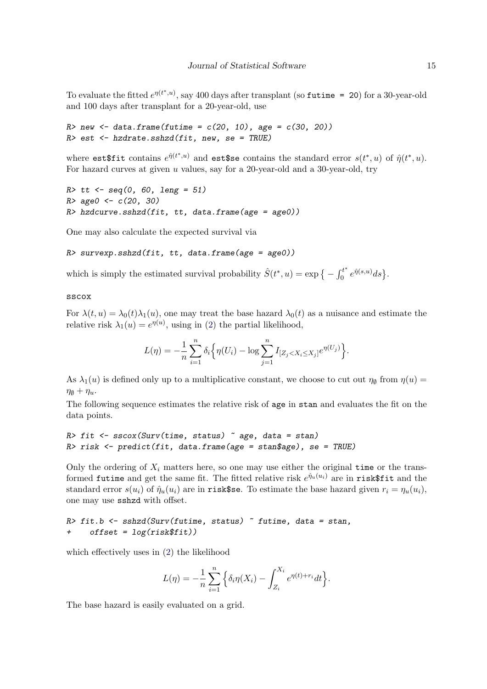To evaluate the fitted  $e^{\eta(t^*,u)}$ , say 400 days after transplant (so futime = 20) for a 30-year-old and 100 days after transplant for a 20-year-old, use

 $R$  new  $\leq$  data.frame(futime =  $c(20, 10)$ , age =  $c(30, 20)$ )  $R$ > est  $\leftarrow$  hzdrate.sshzd(fit, new, se = TRUE)

where  $\texttt{est}\$$ fit contains  $e^{\hat{\eta}(t^*,u)}$  and  $\texttt{est}\$$ se contains the standard error  $s(t^*,u)$  of  $\hat{\eta}(t^*,u)$ . For hazard curves at given  $u$  values, say for a 20-year-old and a 30-year-old, try

```
R tt <- seq(0, 60, leng = 51)
R > age0 \leftarrow c(20, 30)R> hzdcurve.sshzd(fit, tt, data.frame(age = age0))
```
One may also calculate the expected survival via

```
R> survexp.sshzd(fit, tt, data.frame(age = age0))
```
which is simply the estimated survival probability  $\hat{S}(t^*, u) = \exp \{-\int_0^{t^*}$  $\int_0^{t^*} e^{\hat{\eta}(s,u)} ds\big\}.$ 

#### sscox

For  $\lambda(t, u) = \lambda_0(t)\lambda_1(u)$ , one may treat the base hazard  $\lambda_0(t)$  as a nuisance and estimate the relative risk  $\lambda_1(u) = e^{\eta(u)}$ , using in [\(2\)](#page-1-2) the partial likelihood,

$$
L(\eta) = -\frac{1}{n} \sum_{i=1}^{n} \delta_i \Big\{ \eta(U_i) - \log \sum_{j=1}^{n} I_{[Z_j < X_i \le X_j]} e^{\eta(U_j)} \Big\}.
$$

As  $\lambda_1(u)$  is defined only up to a multiplicative constant, we choose to cut out  $\eta_{\emptyset}$  from  $\eta(u)$  $\eta_{\emptyset} + \eta_u$ .

The following sequence estimates the relative risk of age in stan and evaluates the fit on the data points.

```
R> fit <- sscox(Surv(time, status) \tilde{ } age, data = stan)
R> risk <- predict(fit, data.frame(age = stan$age), se = TRUE)
```
Only the ordering of  $X_i$  matters here, so one may use either the original time or the transformed futime and get the same fit. The fitted relative risk  $e^{\hat{\eta}_u(u_i)}$  are in risk\$fit and the standard error  $s(u_i)$  of  $\hat{\eta}_u(u_i)$  are in risk\$se. To estimate the base hazard given  $r_i = \eta_u(u_i)$ , one may use sshzd with offset.

```
R> fit.b <- sshzd(Surv(futime, status) \tilde{ } futime, data = stan,
     offset = log(risk$fit))
```
which effectively uses in [\(2\)](#page-1-2) the likelihood

$$
L(\eta) = -\frac{1}{n} \sum_{i=1}^{n} \left\{ \delta_i \eta(X_i) - \int_{Z_i}^{X_i} e^{\eta(t) + r_i} dt \right\}.
$$

The base hazard is easily evaluated on a grid.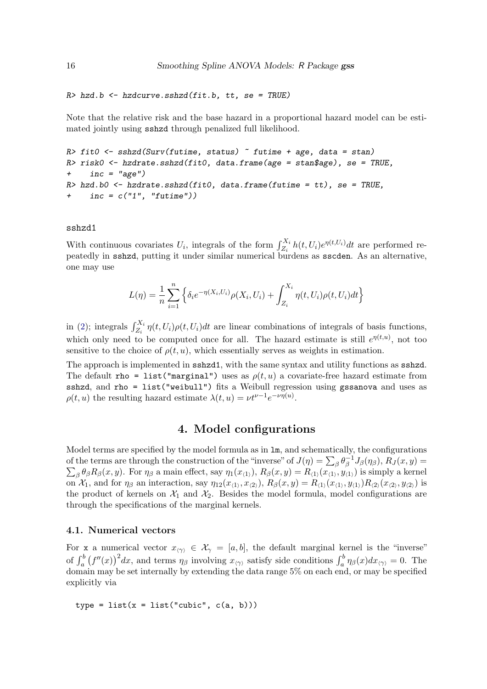```
R> hzd.b <- hzdcurve.sshzd(fit.b, tt, se = TRUE)
```
Note that the relative risk and the base hazard in a proportional hazard model can be estimated jointly using sshzd through penalized full likelihood.

```
R> fit0 <- sshzd(Surv(futime, status) \tilde{ } futime + age, data = stan)
R> risk0 <- hzdrate.sshzd(fit0, data.frame(age = stan$age), se = TRUE,
     inc = "age")R> hzd.b0 <- hzdrate.sshzd(fit0, data.frame(futime = tt), se = TRUE,
     inc = c("1", "futime")
```
#### sshzd1

With continuous covariates  $U_i$ , integrals of the form  $\int_{Z_i}^{X_i} h(t, U_i) e^{\eta(t, U_i)} dt$  are performed repeatedly in sshzd, putting it under similar numerical burdens as sscden. As an alternative, one may use

$$
L(\eta) = \frac{1}{n} \sum_{i=1}^{n} \left\{ \delta_i e^{-\eta(X_i, U_i)} \rho(X_i, U_i) + \int_{Z_i}^{X_i} \eta(t, U_i) \rho(t, U_i) dt \right\}
$$

in [\(2\)](#page-1-2); integrals  $\int_{Z_i}^{X_i} \eta(t, U_i) \rho(t, U_i) dt$  are linear combinations of integrals of basis functions, which only need to be computed once for all. The hazard estimate is still  $e^{\eta(t,u)}$ , not too sensitive to the choice of  $\rho(t, u)$ , which essentially serves as weights in estimation.

The approach is implemented in **sshzd1**, with the same syntax and utility functions as **sshzd**. The default rho = list("marginal") uses as  $\rho(t, u)$  a covariate-free hazard estimate from sshzd, and rho = list("weibull") fits a Weibull regression using gssanova and uses as  $\rho(t, u)$  the resulting hazard estimate  $\lambda(t, u) = \nu t^{\nu-1} e^{-\nu \eta(u)}$ .

## 4. Model configurations

<span id="page-15-0"></span>Model terms are specified by the model formula as in lm, and schematically, the configurations of the terms are through the construction of the "inverse" of  $J(\eta) = \sum_{\beta} \theta_{\beta}^{-1}$  $\beta^{-1}J_{\beta}(\eta_{\beta}),\,R_{J}(x,y)=$  $\sum_{\beta} \theta_{\beta} R_{\beta}(x, y)$ . For  $\eta_{\beta}$  a main effect, say  $\eta_1(x_{\langle 1 \rangle}), R_{\beta}(x, y) = R_{\langle 1 \rangle}(x_{\langle 1 \rangle}, y_{\langle 1 \rangle})$  is simply a kernel on  $\mathcal{X}_1$ , and for  $\eta_\beta$  an interaction, say  $\eta_{12}(x_{\langle 1\rangle}, x_{\langle 2\rangle}), R_\beta(x, y) = R_{\langle 1\rangle}(x_{\langle 1\rangle}, y_{\langle 1\rangle})R_{\langle 2\rangle}(x_{\langle 2\rangle}, y_{\langle 2\rangle})$  is the product of kernels on  $\mathcal{X}_1$  and  $\mathcal{X}_2$ . Besides the model formula, model configurations are through the specifications of the marginal kernels.

#### 4.1. Numerical vectors

For x a numerical vector  $x_{\langle \gamma \rangle} \in \mathcal{X}_{\gamma} = [a, b]$ , the default marginal kernel is the "inverse" of  $\int_a^b (f''(x))^2 dx$ , and terms  $\eta_\beta$  involving  $x_{\langle \gamma \rangle}$  satisfy side conditions  $\int_a^b \eta_\beta(x) dx_{\langle \gamma \rangle} = 0$ . The domain may be set internally by extending the data range 5% on each end, or may be specified explicitly via

```
type = list(x = list("cubic", c(a, b)))
```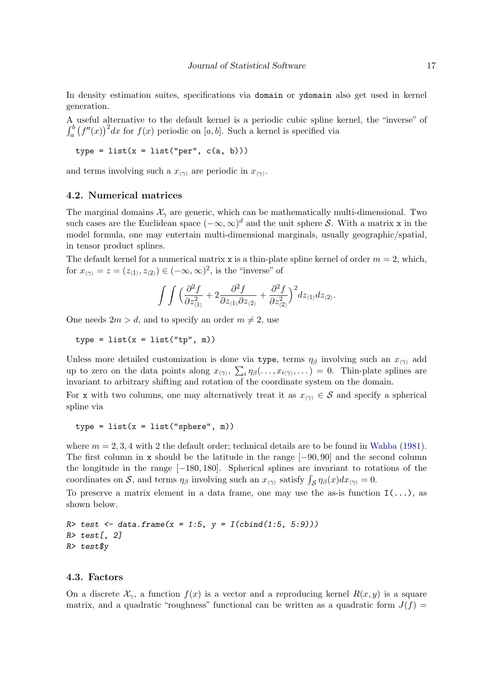In density estimation suites, specifications via domain or ydomain also get used in kernel generation.

A useful alternative to the default kernel is a periodic cubic spline kernel, the "inverse" of  $\int_a^b (f''(x))^2 dx$  for  $f(x)$  periodic on [a, b]. Such a kernel is specified via

```
type = list(x = list("per", c(a, b)))
```
and terms involving such a  $x_{\langle \gamma \rangle}$  are periodic in  $x_{\langle \gamma \rangle}$ .

#### 4.2. Numerical matrices

The marginal domains  $\mathcal{X}_{\gamma}$  are generic, which can be mathematically multi-dimensional. Two such cases are the Euclidean space  $(-\infty, \infty)^d$  and the unit sphere S. With a matrix x in the model formula, one may entertain multi-dimensional marginals, usually geographic/spatial, in tensor product splines.

The default kernel for a numerical matrix x is a thin-plate spline kernel of order  $m = 2$ , which, for  $x_{\langle \gamma \rangle} = z = (z_{\langle 1 \rangle}, z_{\langle 2 \rangle}) \in (-\infty, \infty)^2$ , is the "inverse" of

$$
\int \int \Big(\frac{\partial^2 f}{\partial z_{\langle 1\rangle}^2} + 2 \frac{\partial^2 f}{\partial z_{\langle 1\rangle}\partial z_{\langle 2\rangle}} + \frac{\partial^2 f}{\partial z_{\langle 2\rangle}^2}\Big)^2 dz_{\langle 1\rangle} dz_{\langle 2\rangle}.
$$

One needs  $2m > d$ , and to specify an order  $m \neq 2$ , use

 $type = list(x = list("tp", m))$ 

Unless more detailed customization is done via type, terms  $\eta_\beta$  involving such an  $x_{\langle \gamma \rangle}$  add up to zero on the data points along  $x_{\langle \gamma \rangle}, \sum_i \eta_\beta(\ldots, x_{i\langle \gamma \rangle}, \ldots) = 0$ . Thin-plate splines are invariant to arbitrary shifting and rotation of the coordinate system on the domain.

For x with two columns, one may alternatively treat it as  $x_{\langle \gamma \rangle} \in S$  and specify a spherical spline via

type =  $list(x = list("sphere", m))$ 

where  $m = 2, 3, 4$  with 2 the default order; technical details are to be found in [Wahba](#page-23-15) [\(1981\)](#page-23-15). The first column in x should be the latitude in the range [−90, 90] and the second column the longitude in the range [−180, 180]. Spherical splines are invariant to rotations of the coordinates on S, and terms  $\eta_\beta$  involving such an  $x_{\langle \gamma \rangle}$  satisfy  $\int_S \eta_\beta(x) dx_{\langle \gamma \rangle} = 0$ .

To preserve a matrix element in a data frame, one may use the as-is function  $I(\ldots)$ , as shown below.

R> test <- data.frame(x = 1:5, y =  $I$ (cbind(1:5, 5:9)))  $R$ > test[, 2] R> test\$y

## 4.3. Factors

On a discrete  $\mathcal{X}_{\gamma}$ , a function  $f(x)$  is a vector and a reproducing kernel  $R(x, y)$  is a square matrix, and a quadratic "roughness" functional can be written as a quadratic form  $J(f)$  =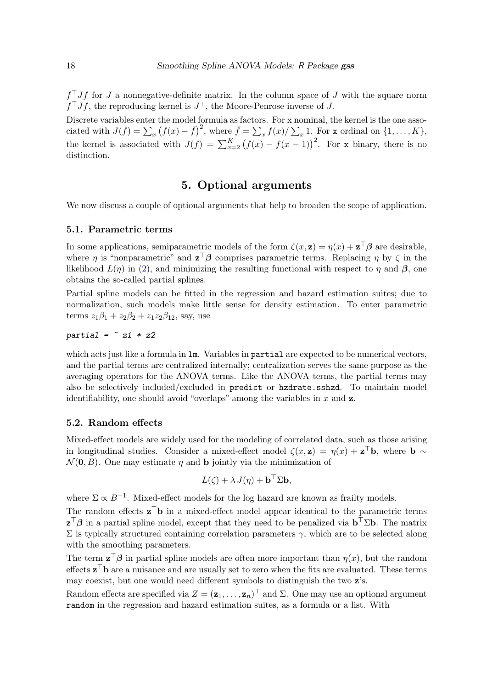$f<sup>T</sup> Jf$  for J a nonnegative-definite matrix. In the column space of J with the square norm  $f^{\top} J f$ , the reproducing kernel is  $J^+$ , the Moore-Penrose inverse of J.

Discrete variables enter the model formula as factors. For x nominal, the kernel is the one associated with  $J(f) = \sum_x (f(x) - \bar{f})^2$ , where  $\bar{f} = \sum_x f(x) / \sum_x 1$ . For x ordinal on  $\{1, \ldots, K\}$ , the kernel is associated with  $J(f) = \sum_{x=2}^{K} (f(x) - f(x-1))^2$ . For x binary, there is no distinction.

## 5. Optional arguments

<span id="page-17-0"></span>We now discuss a couple of optional arguments that help to broaden the scope of application.

#### 5.1. Parametric terms

In some applications, semiparametric models of the form  $\zeta(x, \mathbf{z}) = \eta(x) + \mathbf{z}^\top \boldsymbol{\beta}$  are desirable, where  $\eta$  is "nonparametric" and  $\mathbf{z}^{\top}\boldsymbol{\beta}$  comprises parametric terms. Replacing  $\eta$  by  $\zeta$  in the likelihood  $L(\eta)$  in [\(2\)](#page-1-2), and minimizing the resulting functional with respect to  $\eta$  and  $\beta$ , one obtains the so-called partial splines.

Partial spline models can be fitted in the regression and hazard estimation suites; due to normalization, such models make little sense for density estimation. To enter parametric terms  $z_1\beta_1 + z_2\beta_2 + z_1z_2\beta_{12}$ , say, use

$$
partial = z1 * z2
$$

which acts just like a formula in  $\text{Im}$ . Variables in **partial** are expected to be numerical vectors, and the partial terms are centralized internally; centralization serves the same purpose as the averaging operators for the ANOVA terms. Like the ANOVA terms, the partial terms may also be selectively included/excluded in predict or hzdrate.sshzd. To maintain model identifiability, one should avoid "overlaps" among the variables in  $x$  and  $z$ .

#### 5.2. Random effects

Mixed-effect models are widely used for the modeling of correlated data, such as those arising in longitudinal studies. Consider a mixed-effect model  $\zeta(x, z) = \eta(x) + z^{\top}b$ , where  $b \sim$  $\mathcal{N}(\mathbf{0}, B)$ . One may estimate  $\eta$  and **b** jointly via the minimization of

$$
L(\zeta) + \lambda J(\eta) + \mathbf{b}^\top \Sigma \mathbf{b},
$$

where  $\Sigma \propto B^{-1}$ . Mixed-effect models for the log hazard are known as frailty models.

The random effects  $z^{\top}b$  in a mixed-effect model appear identical to the parametric terms  $\mathbf{z}^\top \boldsymbol{\beta}$  in a partial spline model, except that they need to be penalized via  $\mathbf{b}^\top \Sigma \mathbf{b}$ . The matrix  $\Sigma$  is typically structured containing correlation parameters γ, which are to be selected along with the smoothing parameters.

The term  $\mathbf{z}^\top \boldsymbol{\beta}$  in partial spline models are often more important than  $\eta(x)$ , but the random effects  $\mathbf{z}^{\top} \mathbf{b}$  are a nuisance and are usually set to zero when the fits are evaluated. These terms may coexist, but one would need different symbols to distinguish the two z's.

Random effects are specified via  $Z = (\mathbf{z}_1, \ldots, \mathbf{z}_n)^\top$  and  $\Sigma$ . One may use an optional argument random in the regression and hazard estimation suites, as a formula or a list. With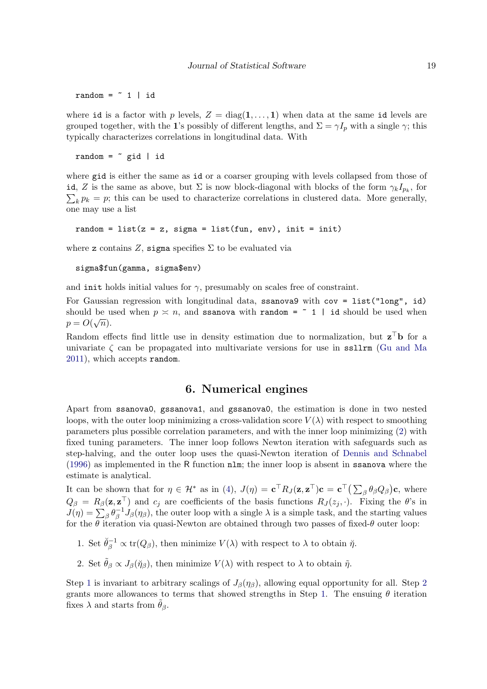random =  $\degree$  1 | id

where id is a factor with p levels,  $Z = diag(1, \ldots, 1)$  when data at the same id levels are grouped together, with the 1's possibly of different lengths, and  $\Sigma = \gamma I_p$  with a single  $\gamma$ ; this typically characterizes correlations in longitudinal data. With

random =  $\tilde{ }$  gid | id

where gid is either the same as id or a coarser grouping with levels collapsed from those of id, Z is the same as above, but  $\Sigma$  is now block-diagonal with blocks of the form  $\gamma_k I_{p_k}$ , for  $\sum_{k} p_k = p$ ; this can be used to characterize correlations in clustered data. More generally, one may use a list

random =  $list(z = z, sigma = list(fun, env), init = init)$ 

where z contains Z, sigma specifies  $\Sigma$  to be evaluated via

```
sigma$fun(gamma, sigma$env)
```
and initial values for  $\gamma$ , presumably on scales free of constraint.

For Gaussian regression with longitudinal data, ssanova9 with cov = list("long", id) should be used when  $p \le n$ , and ssanova with random =  $\degree$  1 | id should be used when  $p = O(\sqrt{n}).$ 

Random effects find little use in density estimation due to normalization, but  $z^{\top}b$  for a univariate  $\zeta$  can be propagated into multivariate versions for use in ssllrm [\(Gu and Ma](#page-23-16) [2011\)](#page-23-16), which accepts random.

## 6. Numerical engines

<span id="page-18-0"></span>Apart from ssanova0, gssanova1, and gssanova0, the estimation is done in two nested loops, with the outer loop minimizing a cross-validation score  $V(\lambda)$  with respect to smoothing parameters plus possible correlation parameters, and with the inner loop minimizing [\(2\)](#page-1-2) with fixed tuning parameters. The inner loop follows Newton iteration with safeguards such as step-halving, and the outer loop uses the quasi-Newton iteration of [Dennis and Schnabel](#page-22-4) [\(1996\)](#page-22-4) as implemented in the R function nlm; the inner loop is absent in ssanova where the estimate is analytical.

It can be shown that for  $\eta \in \mathcal{H}^*$  as in [\(4\)](#page-3-0),  $J(\eta) = \mathbf{c}^\top R_J(\mathbf{z}, \mathbf{z}^\top) \mathbf{c} = \mathbf{c}^\top \big( \sum_{\beta} \theta_{\beta} Q_{\beta} \big) \mathbf{c}$ , where  $Q_{\beta} = R_{\beta}(\mathbf{z}, \mathbf{z}^{\top})$  and  $c_j$  are coefficients of the basis functions  $R_J(z_j, \cdot)$ . Fixing the  $\theta$ 's in  $J(\eta)=\sum_{\beta}\theta_{\beta}^{-1}$  $\int_{\beta}^{-1} J_{\beta}(\eta_{\beta})$ , the outer loop with a single  $\lambda$  is a simple task, and the starting values for the  $\theta$  iteration via quasi-Newton are obtained through two passes of fixed- $\theta$  outer loop:

- <span id="page-18-1"></span>1. Set  $\check{\theta}_{\beta}^{-1} \propto \text{tr}(Q_{\beta})$ , then minimize  $V(\lambda)$  with respect to  $\lambda$  to obtain  $\check{\eta}$ .
- <span id="page-18-2"></span>2. Set  $\tilde{\theta}_{\beta} \propto J_{\beta}(\tilde{\eta}_{\beta})$ , then minimize  $V(\lambda)$  with respect to  $\lambda$  to obtain  $\tilde{\eta}$ .

Step [1](#page-18-1) is invariant to arbitrary scalings of  $J_\beta(\eta_\beta)$ , allowing equal opportunity for all. Step [2](#page-18-2) grants more allowances to terms that showed strengths in Step [1.](#page-18-1) The ensuing  $\theta$  iteration fixes  $\lambda$  and starts from  $\tilde{\theta}_{\beta}$ .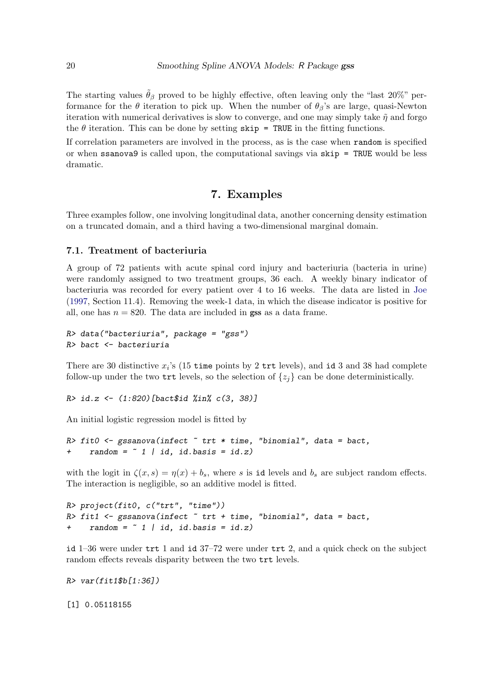The starting values  $\tilde{\theta}_{\beta}$  proved to be highly effective, often leaving only the "last 20%" performance for the  $\theta$  iteration to pick up. When the number of  $\theta_{\beta}$ 's are large, quasi-Newton iteration with numerical derivatives is slow to converge, and one may simply take  $\tilde{\eta}$  and forgo the  $\theta$  iteration. This can be done by setting skip = TRUE in the fitting functions.

If correlation parameters are involved in the process, as is the case when random is specified or when ssanova9 is called upon, the computational savings via skip = TRUE would be less dramatic.

## 7. Examples

<span id="page-19-0"></span>Three examples follow, one involving longitudinal data, another concerning density estimation on a truncated domain, and a third having a two-dimensional marginal domain.

#### 7.1. Treatment of bacteriuria

A group of 72 patients with acute spinal cord injury and bacteriuria (bacteria in urine) were randomly assigned to two treatment groups, 36 each. A weekly binary indicator of bacteriuria was recorded for every patient over 4 to 16 weeks. The data are listed in [Joe](#page-23-17) [\(1997,](#page-23-17) Section 11.4). Removing the week-1 data, in which the disease indicator is positive for all, one has  $n = 820$ . The data are included in **gss** as a data frame.

```
R> data("bacteriuria", package = "gss")
R> bact <- bacteriuria
```
There are 30 distinctive  $x_i$ 's (15 time points by 2 trt levels), and id 3 and 38 had complete follow-up under the two  $\text{tr }$  levels, so the selection of  $\{z_j\}$  can be done deterministically.

```
R> id.z <- (1:820)[bact$id %in% c(3, 38)]
```
An initial logistic regression model is fitted by

```
R> fit0 <- gssanova(infect * tr * time, "binomial", data = bact,
    random = " 1 | id, id. basis = id.z)
```
with the logit in  $\zeta(x, s) = \eta(x) + b_s$ , where s is id levels and  $b_s$  are subject random effects. The interaction is negligible, so an additive model is fitted.

```
R> project(fit0, c("trt", "time"))
R> fit1 \leq gssanova(infect \leq trt + time, "binomial", data = bact,
     random = " 1 | id, id. basis = id.z)
```
id 1–36 were under trt 1 and id 37–72 were under trt 2, and a quick check on the subject random effects reveals disparity between the two trt levels.

 $R > var(fit1$b[1:36])$ 

[1] 0.05118155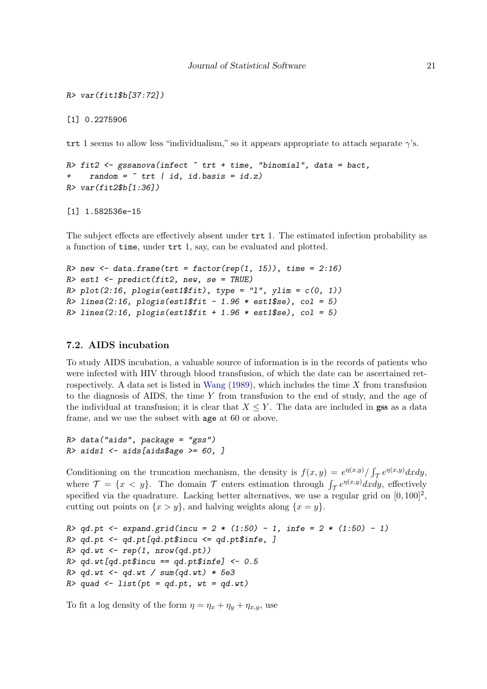```
R> var(fit1$b[37:72])
```
[1] 0.2275906

trt 1 seems to allow less "individualism," so it appears appropriate to attach separate  $\gamma$ 's.

```
R> fit2 <- gssanova(infect \tilde{ } trt + time, "binomial", data = bact,
+ random = \tilde{r} trt | id, id.basis = id.z)
R> var(fit2$b[1:36])
```
[1] 1.582536e-15

The subject effects are effectively absent under trt 1. The estimated infection probability as a function of time, under trt 1, say, can be evaluated and plotted.

```
R new \leq data.frame(trt = factor(rep(1, 15)), time = 2:16)
R> est1 <- predict(fit2, new, se = TRUE)
R> plot(2:16, plogis(est1$fit), type = "l", ylim = c(0, 1))
R > lines(2:16, plogis(est1$fit - 1.96 * est1$se), col = 5)
R > 1ines(2:16, plogis(est1$fit + 1.96 * est1$se), col = 5)
```
### 7.2. AIDS incubation

To study AIDS incubation, a valuable source of information is in the records of patients who were infected with HIV through blood transfusion, of which the date can be ascertained ret-rospectively. A data set is listed in [Wang](#page-24-1)  $(1989)$ , which includes the time X from transfusion to the diagnosis of AIDS, the time  $Y$  from transfusion to the end of study, and the age of the individual at transfusion; it is clear that  $X \leq Y$ . The data are included in gss as a data frame, and we use the subset with age at 60 or above.

```
R> data("aids", package = "gss")
R> aids1 <- aids[aids$age >= 60, ]
```
Conditioning on the truncation mechanism, the density is  $f(x,y) = e^{\eta(x,y)}/\int_{\mathcal{T}} e^{\eta(x,y)} dx dy$ , where  $\mathcal{T} = \{x < y\}$ . The domain  $\mathcal T$  enters estimation through  $\int_{\mathcal T} e^{\eta(x,y)} dx dy$ , effectively specified via the quadrature. Lacking better alternatives, we use a regular grid on  $[0, 100]^2$ , cutting out points on  $\{x > y\}$ , and halving weights along  $\{x = y\}$ .

```
R > qd.pt <- expand.grid(incu = 2 * (1:50) - 1, infe = 2 * (1:50) - 1)
R> qd.pt <- qd.pt[qd.pt$incu <= qd.pt$infe, ]
R > qd.wt \leq rep(1, nrow(qd.pt))R > qd.wt [qd.pt$incu == qd.pt$infel <- 0.5R > qd.wt \leq qd.wt \neq sum(qd.wt) \cdot 5e3R> quad <- list(pt = qd.pt, wt = qd.wt)
```
To fit a log density of the form  $\eta = \eta_x + \eta_y + \eta_{x,y}$ , use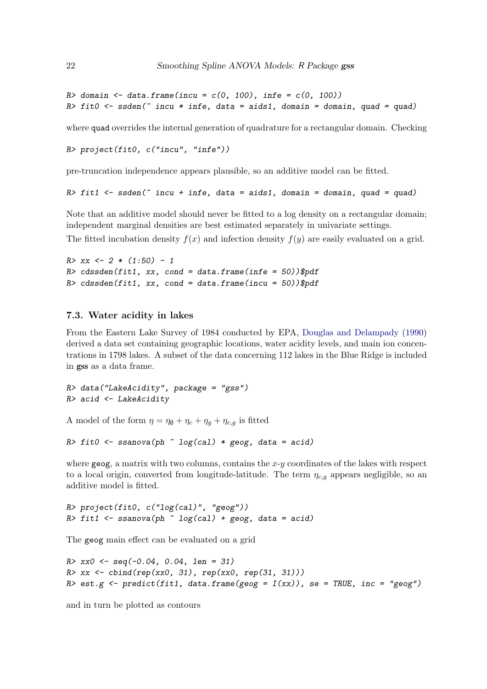R> domain  $\leq$  data.frame(incu = c(0, 100), infe = c(0, 100)) R> fit0 <- ssden( $\tilde{ }$  incu  $*$  infe, data = aids1, domain = domain, quad = quad)

where quad overrides the internal generation of quadrature for a rectangular domain. Checking

```
R> project(fit0, c("incu", "infe"))
```
pre-truncation independence appears plausible, so an additive model can be fitted.

```
R> fit1 <- ssden(\tilde{ } incu + infe, data = aids1, domain = domain, quad = quad)
```
Note that an additive model should never be fitted to a log density on a rectangular domain; independent marginal densities are best estimated separately in univariate settings. The fitted incubation density  $f(x)$  and infection density  $f(y)$  are easily evaluated on a grid.

```
R > xx \leftarrow 2 * (1:50) - 1R> cdssden(fit1, xx, cond = data.frame(infe = 50))$pdf
R> cdssden(fit1, xx, cond = data.frame(incu = 50))$pdf
```
#### 7.3. Water acidity in lakes

From the Eastern Lake Survey of 1984 conducted by EPA, [Douglas and Delampady](#page-22-5) [\(1990\)](#page-22-5) derived a data set containing geographic locations, water acidity levels, and main ion concentrations in 1798 lakes. A subset of the data concerning 112 lakes in the Blue Ridge is included in gss as a data frame.

```
R> data("LakeAcidity", package = "gss")
R> acid <- LakeAcidity
```
A model of the form  $\eta = \eta_{\emptyset} + \eta_c + \eta_g + \eta_{c,g}$  is fitted

```
R> fit0 <- ssanova(ph \degree log(cal) * geog, data = acid)
```
where  $geog$ , a matrix with two columns, contains the  $x-y$  coordinates of the lakes with respect to a local origin, converted from longitude-latitude. The term  $\eta_{c,q}$  appears negligible, so an additive model is fitted.

```
R> project(fit0, c("log(cal)", "geog"))
R> fit1 <- ssanova(ph \tilde{ } log(cal) + geog, data = acid)
```
The geog main effect can be evaluated on a grid

```
R > xx0 \leftarrow seq(-0.04, 0.04, len = 31)R > xx \leftarrow \text{cbind}(\text{rep}(xx0, 31), \text{rep}(xx0, \text{rep}(31, 31)))R> est.g \leftarrow predict(fit1, data.frame(geog = I(xx)), se = TRUE, inc = "geog")
```
and in turn be plotted as contours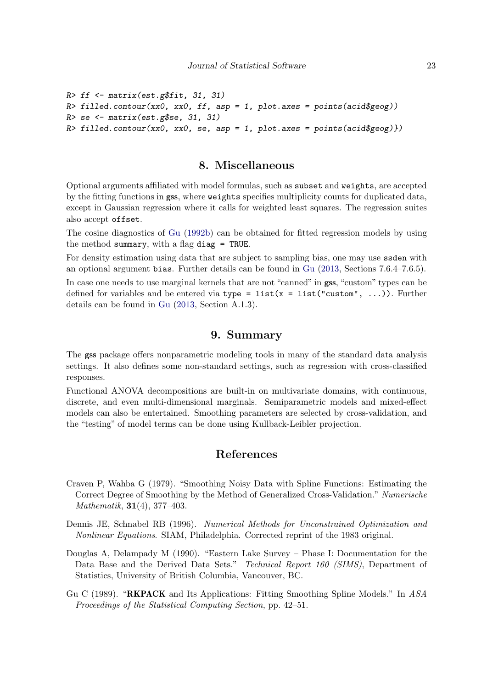```
R > f f \leftarrow matrix(est. g$fit, 31, 31)R> filled.contour(xx0, xx0, ff, asp = 1, plot.axes = points(acid$geog))
R> se \leftarrow matrix(est.g$se, 31, 31)
R> filled.contour(xx0, xx0, se, asp = 1, plot.axes = points(acid$geog)})
```
## 8. Miscellaneous

<span id="page-22-1"></span>Optional arguments affiliated with model formulas, such as subset and weights, are accepted by the fitting functions in gss, where weights specifies multiplicity counts for duplicated data, except in Gaussian regression where it calls for weighted least squares. The regression suites also accept offset.

The cosine diagnostics of [Gu](#page-23-18) [\(1992b\)](#page-23-18) can be obtained for fitted regression models by using the method summary, with a flag diag = TRUE.

For density estimation using data that are subject to sampling bias, one may use ssden with an optional argument bias. Further details can be found in [Gu](#page-23-1) [\(2013,](#page-23-1) Sections 7.6.4–7.6.5).

In case one needs to use marginal kernels that are not "canned" in **gss**, "custom" types can be defined for variables and be entered via type =  $list(x = list("custom", ...)$ . Further details can be found in [Gu](#page-23-1) [\(2013,](#page-23-1) Section A.1.3).

## 9. Summary

<span id="page-22-2"></span>The gss package offers nonparametric modeling tools in many of the standard data analysis settings. It also defines some non-standard settings, such as regression with cross-classified responses.

Functional ANOVA decompositions are built-in on multivariate domains, with continuous, discrete, and even multi-dimensional marginals. Semiparametric models and mixed-effect models can also be entertained. Smoothing parameters are selected by cross-validation, and the "testing" of model terms can be done using Kullback-Leibler projection.

## References

- <span id="page-22-3"></span>Craven P, Wahba G (1979). "Smoothing Noisy Data with Spline Functions: Estimating the Correct Degree of Smoothing by the Method of Generalized Cross-Validation." Numerische Mathematik, 31(4), 377–403.
- <span id="page-22-4"></span>Dennis JE, Schnabel RB (1996). Numerical Methods for Unconstrained Optimization and Nonlinear Equations. SIAM, Philadelphia. Corrected reprint of the 1983 original.
- <span id="page-22-5"></span>Douglas A, Delampady M (1990). "Eastern Lake Survey – Phase I: Documentation for the Data Base and the Derived Data Sets." Technical Report 160 (SIMS), Department of Statistics, University of British Columbia, Vancouver, BC.
- <span id="page-22-0"></span>Gu C (1989). "RKPACK and Its Applications: Fitting Smoothing Spline Models." In ASA Proceedings of the Statistical Computing Section, pp. 42–51.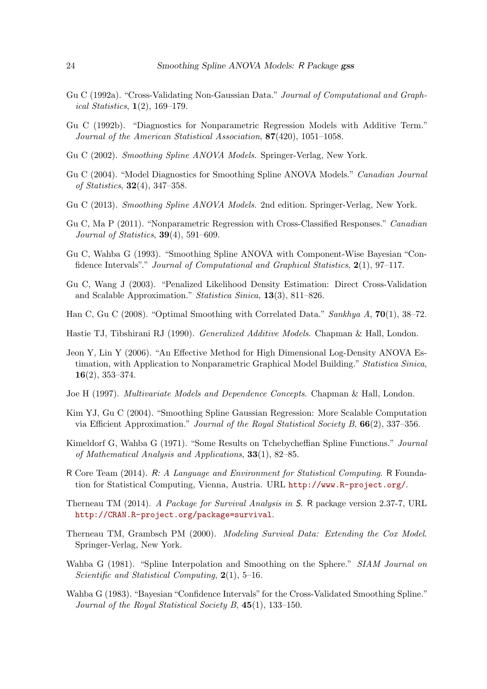- <span id="page-23-9"></span>Gu C (1992a). "Cross-Validating Non-Gaussian Data." Journal of Computational and Graph*ical Statistics*,  $1(2)$ ,  $169-179$ .
- <span id="page-23-18"></span>Gu C (1992b). "Diagnostics for Nonparametric Regression Models with Additive Term." Journal of the American Statistical Association, 87(420), 1051–1058.
- <span id="page-23-12"></span>Gu C (2002). Smoothing Spline ANOVA Models. Springer-Verlag, New York.
- <span id="page-23-7"></span>Gu C (2004). "Model Diagnostics for Smoothing Spline ANOVA Models." Canadian Journal of Statistics, 32(4), 347–358.
- <span id="page-23-1"></span>Gu C (2013). Smoothing Spline ANOVA Models. 2nd edition. Springer-Verlag, New York.
- <span id="page-23-16"></span>Gu C, Ma P (2011). "Nonparametric Regression with Cross-Classified Responses." Canadian Journal of Statistics,  $39(4)$ , 591–609.
- <span id="page-23-6"></span>Gu C, Wahba G (1993). "Smoothing Spline ANOVA with Component-Wise Bayesian "Confidence Intervals"." Journal of Computational and Graphical Statistics, 2(1), 97–117.
- <span id="page-23-4"></span>Gu C, Wang J (2003). "Penalized Likelihood Density Estimation: Direct Cross-Validation and Scalable Approximation." Statistica Sinica, 13(3), 811–826.
- <span id="page-23-13"></span>Han C, Gu C (2008). "Optimal Smoothing with Correlated Data." Sankhya A,  $70(1)$ , 38–72.
- <span id="page-23-3"></span>Hastie TJ, Tibshirani RJ (1990). Generalized Additive Models. Chapman & Hall, London.
- <span id="page-23-14"></span>Jeon Y, Lin Y (2006). "An Effective Method for High Dimensional Log-Density ANOVA Estimation, with Application to Nonparametric Graphical Model Building." Statistica Sinica, 16(2), 353–374.
- <span id="page-23-17"></span>Joe H (1997). Multivariate Models and Dependence Concepts. Chapman & Hall, London.
- <span id="page-23-8"></span>Kim YJ, Gu C (2004). "Smoothing Spline Gaussian Regression: More Scalable Computation via Efficient Approximation." Journal of the Royal Statistical Society B, 66(2), 337–356.
- <span id="page-23-2"></span>Kimeldorf G, Wahba G (1971). "Some Results on Tchebycheffian Spline Functions." Journal of Mathematical Analysis and Applications, 33(1), 82–85.
- <span id="page-23-0"></span>R Core Team (2014). R: A Language and Environment for Statistical Computing. R Foundation for Statistical Computing, Vienna, Austria. URL <http://www.R-project.org/>.
- <span id="page-23-11"></span>Therneau TM (2014). A Package for Survival Analysis in S. R package version 2.37-7, URL <http://CRAN.R-project.org/package=survival>.
- <span id="page-23-10"></span>Therneau TM, Grambsch PM (2000). Modeling Survival Data: Extending the Cox Model. Springer-Verlag, New York.
- <span id="page-23-15"></span>Wahba G (1981). "Spline Interpolation and Smoothing on the Sphere." SIAM Journal on Scientific and Statistical Computing, 2(1), 5–16.
- <span id="page-23-5"></span>Wahba G (1983). "Bayesian "Confidence Intervals" for the Cross-Validated Smoothing Spline." Journal of the Royal Statistical Society B, 45(1), 133–150.